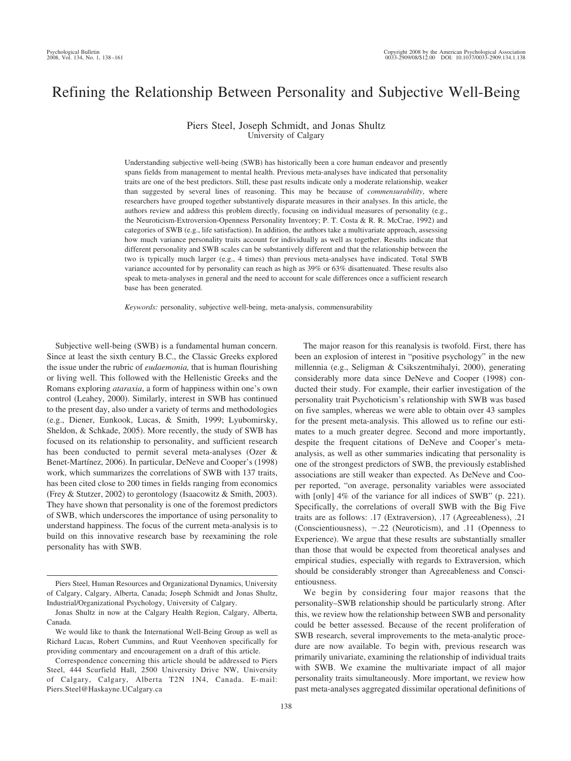# Refining the Relationship Between Personality and Subjective Well-Being

Piers Steel, Joseph Schmidt, and Jonas Shultz University of Calgary

Understanding subjective well-being (SWB) has historically been a core human endeavor and presently spans fields from management to mental health. Previous meta-analyses have indicated that personality traits are one of the best predictors. Still, these past results indicate only a moderate relationship, weaker than suggested by several lines of reasoning. This may be because of *commensurability*, where researchers have grouped together substantively disparate measures in their analyses. In this article, the authors review and address this problem directly, focusing on individual measures of personality (e.g., the Neuroticism-Extroversion-Openness Personality Inventory; P. T. Costa & R. R. McCrae, 1992) and categories of SWB (e.g., life satisfaction). In addition, the authors take a multivariate approach, assessing how much variance personality traits account for individually as well as together. Results indicate that different personality and SWB scales can be substantively different and that the relationship between the two is typically much larger (e.g., 4 times) than previous meta-analyses have indicated. Total SWB variance accounted for by personality can reach as high as 39% or 63% disattenuated. These results also speak to meta-analyses in general and the need to account for scale differences once a sufficient research base has been generated.

*Keywords:* personality, subjective well-being, meta-analysis, commensurability

Subjective well-being (SWB) is a fundamental human concern. Since at least the sixth century B.C., the Classic Greeks explored the issue under the rubric of *eudaemonia,* that is human flourishing or living well. This followed with the Hellenistic Greeks and the Romans exploring *ataraxia*, a form of happiness within one's own control (Leahey, 2000). Similarly, interest in SWB has continued to the present day, also under a variety of terms and methodologies (e.g., Diener, Eunkook, Lucas, & Smith, 1999; Lyubomirsky, Sheldon, & Schkade, 2005). More recently, the study of SWB has focused on its relationship to personality, and sufficient research has been conducted to permit several meta-analyses (Ozer & Benet-Martínez, 2006). In particular, DeNeve and Cooper's (1998) work, which summarizes the correlations of SWB with 137 traits, has been cited close to 200 times in fields ranging from economics (Frey & Stutzer, 2002) to gerontology (Isaacowitz & Smith, 2003). They have shown that personality is one of the foremost predictors of SWB, which underscores the importance of using personality to understand happiness. The focus of the current meta-analysis is to build on this innovative research base by reexamining the role personality has with SWB.

The major reason for this reanalysis is twofold. First, there has been an explosion of interest in "positive psychology" in the new millennia (e.g., Seligman & Csikszentmihalyi, 2000), generating considerably more data since DeNeve and Cooper (1998) conducted their study. For example, their earlier investigation of the personality trait Psychoticism's relationship with SWB was based on five samples, whereas we were able to obtain over 43 samples for the present meta-analysis. This allowed us to refine our estimates to a much greater degree. Second and more importantly, despite the frequent citations of DeNeve and Cooper's metaanalysis, as well as other summaries indicating that personality is one of the strongest predictors of SWB, the previously established associations are still weaker than expected. As DeNeve and Cooper reported, "on average, personality variables were associated with [only] 4% of the variance for all indices of SWB" (p. 221). Specifically, the correlations of overall SWB with the Big Five traits are as follows: .17 (Extraversion), .17 (Agreeableness), .21 (Conscientiousness),  $-.22$  (Neuroticism), and .11 (Openness to Experience). We argue that these results are substantially smaller than those that would be expected from theoretical analyses and empirical studies, especially with regards to Extraversion, which should be considerably stronger than Agreeableness and Conscientiousness.

We begin by considering four major reasons that the personality–SWB relationship should be particularly strong. After this, we review how the relationship between SWB and personality could be better assessed. Because of the recent proliferation of SWB research, several improvements to the meta-analytic procedure are now available. To begin with, previous research was primarily univariate, examining the relationship of individual traits with SWB. We examine the multivariate impact of all major personality traits simultaneously. More important, we review how past meta-analyses aggregated dissimilar operational definitions of

Piers Steel, Human Resources and Organizational Dynamics, University of Calgary, Calgary, Alberta, Canada; Joseph Schmidt and Jonas Shultz, Industrial/Organizational Psychology, University of Calgary.

Jonas Shultz in now at the Calgary Health Region, Calgary, Alberta, Canada.

We would like to thank the International Well-Being Group as well as Richard Lucas, Robert Cummins, and Ruut Veenhoven specifically for providing commentary and encouragement on a draft of this article.

Correspondence concerning this article should be addressed to Piers Steel, 444 Scurfield Hall, 2500 University Drive NW, University of Calgary, Calgary, Alberta T2N 1N4, Canada. E-mail: Piers.Steel@Haskayne.UCalgary.ca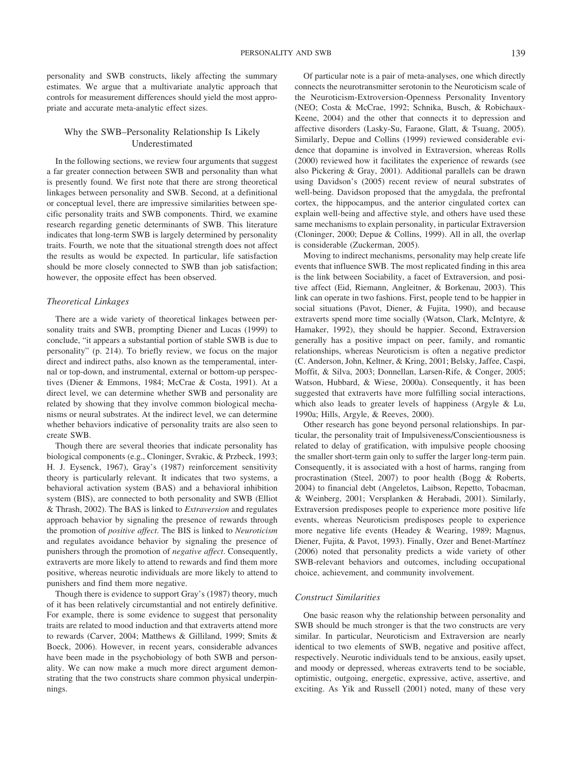personality and SWB constructs, likely affecting the summary estimates. We argue that a multivariate analytic approach that controls for measurement differences should yield the most appropriate and accurate meta-analytic effect sizes.

# Why the SWB–Personality Relationship Is Likely Underestimated

In the following sections, we review four arguments that suggest a far greater connection between SWB and personality than what is presently found. We first note that there are strong theoretical linkages between personality and SWB. Second, at a definitional or conceptual level, there are impressive similarities between specific personality traits and SWB components. Third, we examine research regarding genetic determinants of SWB. This literature indicates that long-term SWB is largely determined by personality traits. Fourth, we note that the situational strength does not affect the results as would be expected. In particular, life satisfaction should be more closely connected to SWB than job satisfaction; however, the opposite effect has been observed.

# *Theoretical Linkages*

There are a wide variety of theoretical linkages between personality traits and SWB, prompting Diener and Lucas (1999) to conclude, "it appears a substantial portion of stable SWB is due to personality" (p. 214). To briefly review, we focus on the major direct and indirect paths, also known as the temperamental, internal or top-down, and instrumental, external or bottom-up perspectives (Diener & Emmons, 1984; McCrae & Costa, 1991). At a direct level, we can determine whether SWB and personality are related by showing that they involve common biological mechanisms or neural substrates. At the indirect level, we can determine whether behaviors indicative of personality traits are also seen to create SWB.

Though there are several theories that indicate personality has biological components (e.g., Cloninger, Svrakic, & Przbeck, 1993; H. J. Eysenck, 1967), Gray's (1987) reinforcement sensitivity theory is particularly relevant. It indicates that two systems, a behavioral activation system (BAS) and a behavioral inhibition system (BIS), are connected to both personality and SWB (Elliot & Thrash, 2002). The BAS is linked to *Extraversion* and regulates approach behavior by signaling the presence of rewards through the promotion of *positive affect*. The BIS is linked to *Neuroticism* and regulates avoidance behavior by signaling the presence of punishers through the promotion of *negative affect*. Consequently, extraverts are more likely to attend to rewards and find them more positive, whereas neurotic individuals are more likely to attend to punishers and find them more negative.

Though there is evidence to support Gray's (1987) theory, much of it has been relatively circumstantial and not entirely definitive. For example, there is some evidence to suggest that personality traits are related to mood induction and that extraverts attend more to rewards (Carver, 2004; Matthews & Gilliland, 1999; Smits & Boeck, 2006). However, in recent years, considerable advances have been made in the psychobiology of both SWB and personality. We can now make a much more direct argument demonstrating that the two constructs share common physical underpinnings.

Of particular note is a pair of meta-analyses, one which directly connects the neurotransmitter serotonin to the Neuroticism scale of the Neuroticism-Extroversion-Openness Personality Inventory (NEO; Costa & McCrae, 1992; Schnika, Busch, & Robichaux-Keene, 2004) and the other that connects it to depression and affective disorders (Lasky-Su, Faraone, Glatt, & Tsuang, 2005). Similarly, Depue and Collins (1999) reviewed considerable evidence that dopamine is involved in Extraversion, whereas Rolls (2000) reviewed how it facilitates the experience of rewards (see also Pickering & Gray, 2001). Additional parallels can be drawn using Davidson's (2005) recent review of neural substrates of well-being. Davidson proposed that the amygdala, the prefrontal cortex, the hippocampus, and the anterior cingulated cortex can explain well-being and affective style, and others have used these same mechanisms to explain personality, in particular Extraversion (Cloninger, 2000; Depue & Collins, 1999). All in all, the overlap is considerable (Zuckerman, 2005).

Moving to indirect mechanisms, personality may help create life events that influence SWB. The most replicated finding in this area is the link between Sociability, a facet of Extraversion, and positive affect (Eid, Riemann, Angleitner, & Borkenau, 2003). This link can operate in two fashions. First, people tend to be happier in social situations (Pavot, Diener, & Fujita, 1990), and because extraverts spend more time socially (Watson, Clark, McIntyre, & Hamaker, 1992), they should be happier. Second, Extraversion generally has a positive impact on peer, family, and romantic relationships, whereas Neuroticism is often a negative predictor (C. Anderson, John, Keltner, & Kring, 2001; Belsky, Jaffee, Caspi, Moffit, & Silva, 2003; Donnellan, Larsen-Rife, & Conger, 2005; Watson, Hubbard, & Wiese, 2000a). Consequently, it has been suggested that extraverts have more fulfilling social interactions, which also leads to greater levels of happiness (Argyle & Lu, 1990a; Hills, Argyle, & Reeves, 2000).

Other research has gone beyond personal relationships. In particular, the personality trait of Impulsiveness/Conscientiousness is related to delay of gratification, with impulsive people choosing the smaller short-term gain only to suffer the larger long-term pain. Consequently, it is associated with a host of harms, ranging from procrastination (Steel, 2007) to poor health (Bogg & Roberts, 2004) to financial debt (Angeletos, Laibson, Repetto, Tobacman, & Weinberg, 2001; Versplanken & Herabadi, 2001). Similarly, Extraversion predisposes people to experience more positive life events, whereas Neuroticism predisposes people to experience more negative life events (Headey & Wearing, 1989; Magnus, Diener, Fujita, & Pavot, 1993). Finally, Ozer and Benet-Martínez (2006) noted that personality predicts a wide variety of other SWB-relevant behaviors and outcomes, including occupational choice, achievement, and community involvement.

# *Construct Similarities*

One basic reason why the relationship between personality and SWB should be much stronger is that the two constructs are very similar. In particular, Neuroticism and Extraversion are nearly identical to two elements of SWB, negative and positive affect, respectively. Neurotic individuals tend to be anxious, easily upset, and moody or depressed, whereas extraverts tend to be sociable, optimistic, outgoing, energetic, expressive, active, assertive, and exciting. As Yik and Russell (2001) noted, many of these very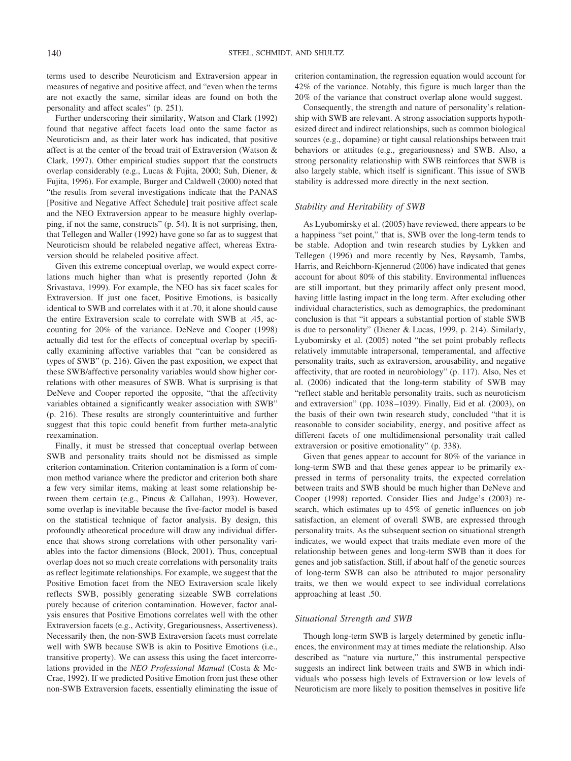terms used to describe Neuroticism and Extraversion appear in measures of negative and positive affect, and "even when the terms are not exactly the same, similar ideas are found on both the personality and affect scales" (p. 251).

Further underscoring their similarity, Watson and Clark (1992) found that negative affect facets load onto the same factor as Neuroticism and, as their later work has indicated, that positive affect is at the center of the broad trait of Extraversion (Watson & Clark, 1997). Other empirical studies support that the constructs overlap considerably (e.g., Lucas & Fujita, 2000; Suh, Diener, & Fujita, 1996). For example, Burger and Caldwell (2000) noted that "the results from several investigations indicate that the PANAS [Positive and Negative Affect Schedule] trait positive affect scale and the NEO Extraversion appear to be measure highly overlapping, if not the same, constructs" (p. 54). It is not surprising, then, that Tellegen and Waller (1992) have gone so far as to suggest that Neuroticism should be relabeled negative affect, whereas Extraversion should be relabeled positive affect.

Given this extreme conceptual overlap, we would expect correlations much higher than what is presently reported (John & Srivastava, 1999). For example, the NEO has six facet scales for Extraversion. If just one facet, Positive Emotions, is basically identical to SWB and correlates with it at .70, it alone should cause the entire Extraversion scale to correlate with SWB at .45, accounting for 20% of the variance. DeNeve and Cooper (1998) actually did test for the effects of conceptual overlap by specifically examining affective variables that "can be considered as types of SWB" (p. 216). Given the past exposition, we expect that these SWB/affective personality variables would show higher correlations with other measures of SWB. What is surprising is that DeNeve and Cooper reported the opposite, "that the affectivity variables obtained a significantly weaker association with SWB" (p. 216). These results are strongly counterintuitive and further suggest that this topic could benefit from further meta-analytic reexamination.

Finally, it must be stressed that conceptual overlap between SWB and personality traits should not be dismissed as simple criterion contamination. Criterion contamination is a form of common method variance where the predictor and criterion both share a few very similar items, making at least some relationship between them certain (e.g., Pincus & Callahan, 1993). However, some overlap is inevitable because the five-factor model is based on the statistical technique of factor analysis. By design, this profoundly atheoretical procedure will draw any individual difference that shows strong correlations with other personality variables into the factor dimensions (Block, 2001). Thus, conceptual overlap does not so much create correlations with personality traits as reflect legitimate relationships. For example, we suggest that the Positive Emotion facet from the NEO Extraversion scale likely reflects SWB, possibly generating sizeable SWB correlations purely because of criterion contamination. However, factor analysis ensures that Positive Emotions correlates well with the other Extraversion facets (e.g., Activity, Gregariousness, Assertiveness). Necessarily then, the non-SWB Extraversion facets must correlate well with SWB because SWB is akin to Positive Emotions (i.e., transitive property). We can assess this using the facet intercorrelations provided in the *NEO Professional Manual* (Costa & Mc-Crae, 1992). If we predicted Positive Emotion from just these other non-SWB Extraversion facets, essentially eliminating the issue of criterion contamination, the regression equation would account for 42% of the variance. Notably, this figure is much larger than the 20% of the variance that construct overlap alone would suggest.

Consequently, the strength and nature of personality's relationship with SWB are relevant. A strong association supports hypothesized direct and indirect relationships, such as common biological sources (e.g., dopamine) or tight causal relationships between trait behaviors or attitudes (e.g., gregariousness) and SWB. Also, a strong personality relationship with SWB reinforces that SWB is also largely stable, which itself is significant. This issue of SWB stability is addressed more directly in the next section.

### *Stability and Heritability of SWB*

As Lyubomirsky et al. (2005) have reviewed, there appears to be a happiness "set point," that is, SWB over the long-term tends to be stable. Adoption and twin research studies by Lykken and Tellegen (1996) and more recently by Nes, Røysamb, Tambs, Harris, and Reichborn-Kjennerud (2006) have indicated that genes account for about 80% of this stability. Environmental influences are still important, but they primarily affect only present mood, having little lasting impact in the long term. After excluding other individual characteristics, such as demographics, the predominant conclusion is that "it appears a substantial portion of stable SWB is due to personality" (Diener & Lucas, 1999, p. 214). Similarly, Lyubomirsky et al. (2005) noted "the set point probably reflects relatively immutable intrapersonal, temperamental, and affective personality traits, such as extraversion, arousability, and negative affectivity, that are rooted in neurobiology" (p. 117). Also, Nes et al. (2006) indicated that the long-term stability of SWB may "reflect stable and heritable personality traits, such as neuroticism and extraversion" (pp. 1038–1039). Finally, Eid et al. (2003), on the basis of their own twin research study, concluded "that it is reasonable to consider sociability, energy, and positive affect as different facets of one multidimensional personality trait called extraversion or positive emotionality" (p. 338).

Given that genes appear to account for 80% of the variance in long-term SWB and that these genes appear to be primarily expressed in terms of personality traits, the expected correlation between traits and SWB should be much higher than DeNeve and Cooper (1998) reported. Consider Ilies and Judge's (2003) research, which estimates up to 45% of genetic influences on job satisfaction, an element of overall SWB, are expressed through personality traits. As the subsequent section on situational strength indicates, we would expect that traits mediate even more of the relationship between genes and long-term SWB than it does for genes and job satisfaction. Still, if about half of the genetic sources of long-term SWB can also be attributed to major personality traits, we then we would expect to see individual correlations approaching at least .50.

#### *Situational Strength and SWB*

Though long-term SWB is largely determined by genetic influences, the environment may at times mediate the relationship. Also described as "nature via nurture," this instrumental perspective suggests an indirect link between traits and SWB in which individuals who possess high levels of Extraversion or low levels of Neuroticism are more likely to position themselves in positive life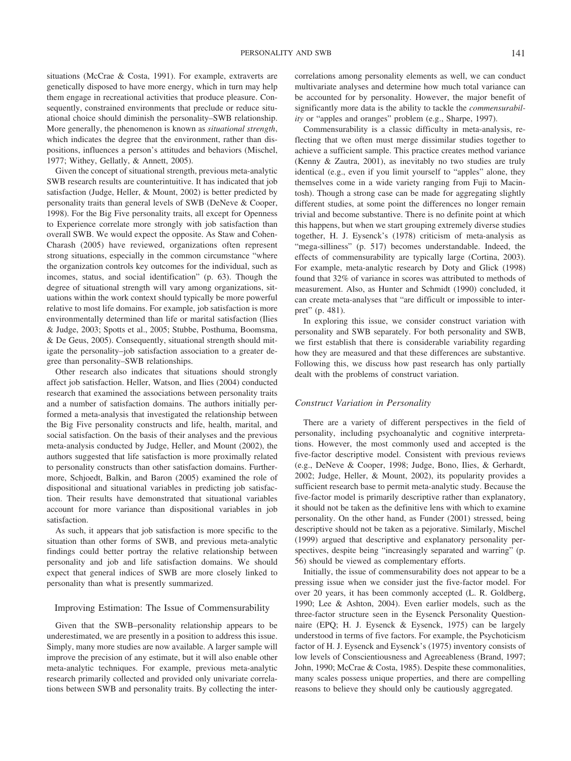situations (McCrae & Costa, 1991). For example, extraverts are genetically disposed to have more energy, which in turn may help them engage in recreational activities that produce pleasure. Consequently, constrained environments that preclude or reduce situational choice should diminish the personality–SWB relationship. More generally, the phenomenon is known as *situational strength*, which indicates the degree that the environment, rather than dispositions, influences a person's attitudes and behaviors (Mischel, 1977; Withey, Gellatly, & Annett, 2005).

Given the concept of situational strength, previous meta-analytic SWB research results are counterintuitive. It has indicated that job satisfaction (Judge, Heller, & Mount, 2002) is better predicted by personality traits than general levels of SWB (DeNeve & Cooper, 1998). For the Big Five personality traits, all except for Openness to Experience correlate more strongly with job satisfaction than overall SWB. We would expect the opposite. As Staw and Cohen-Charash (2005) have reviewed, organizations often represent strong situations, especially in the common circumstance "where the organization controls key outcomes for the individual, such as incomes, status, and social identification" (p. 63). Though the degree of situational strength will vary among organizations, situations within the work context should typically be more powerful relative to most life domains. For example, job satisfaction is more environmentally determined than life or marital satisfaction (Ilies & Judge, 2003; Spotts et al., 2005; Stubbe, Posthuma, Boomsma, & De Geus, 2005). Consequently, situational strength should mitigate the personality–job satisfaction association to a greater degree than personality–SWB relationships.

Other research also indicates that situations should strongly affect job satisfaction. Heller, Watson, and Ilies (2004) conducted research that examined the associations between personality traits and a number of satisfaction domains. The authors initially performed a meta-analysis that investigated the relationship between the Big Five personality constructs and life, health, marital, and social satisfaction. On the basis of their analyses and the previous meta-analysis conducted by Judge, Heller, and Mount (2002), the authors suggested that life satisfaction is more proximally related to personality constructs than other satisfaction domains. Furthermore, Schjoedt, Balkin, and Baron (2005) examined the role of dispositional and situational variables in predicting job satisfaction. Their results have demonstrated that situational variables account for more variance than dispositional variables in job satisfaction.

As such, it appears that job satisfaction is more specific to the situation than other forms of SWB, and previous meta-analytic findings could better portray the relative relationship between personality and job and life satisfaction domains. We should expect that general indices of SWB are more closely linked to personality than what is presently summarized.

## Improving Estimation: The Issue of Commensurability

Given that the SWB–personality relationship appears to be underestimated, we are presently in a position to address this issue. Simply, many more studies are now available. A larger sample will improve the precision of any estimate, but it will also enable other meta-analytic techniques. For example, previous meta-analytic research primarily collected and provided only univariate correlations between SWB and personality traits. By collecting the intercorrelations among personality elements as well, we can conduct multivariate analyses and determine how much total variance can be accounted for by personality. However, the major benefit of significantly more data is the ability to tackle the *commensurability* or "apples and oranges" problem (e.g., Sharpe, 1997).

Commensurability is a classic difficulty in meta-analysis, reflecting that we often must merge dissimilar studies together to achieve a sufficient sample. This practice creates method variance (Kenny & Zautra, 2001), as inevitably no two studies are truly identical (e.g., even if you limit yourself to "apples" alone, they themselves come in a wide variety ranging from Fuji to Macintosh). Though a strong case can be made for aggregating slightly different studies, at some point the differences no longer remain trivial and become substantive. There is no definite point at which this happens, but when we start grouping extremely diverse studies together, H. J. Eysenck's (1978) criticism of meta-analysis as "mega-silliness" (p. 517) becomes understandable. Indeed, the effects of commensurability are typically large (Cortina, 2003). For example, meta-analytic research by Doty and Glick (1998) found that 32% of variance in scores was attributed to methods of measurement. Also, as Hunter and Schmidt (1990) concluded, it can create meta-analyses that "are difficult or impossible to interpret" (p. 481).

In exploring this issue, we consider construct variation with personality and SWB separately. For both personality and SWB, we first establish that there is considerable variability regarding how they are measured and that these differences are substantive. Following this, we discuss how past research has only partially dealt with the problems of construct variation.

#### *Construct Variation in Personality*

There are a variety of different perspectives in the field of personality, including psychoanalytic and cognitive interpretations. However, the most commonly used and accepted is the five-factor descriptive model. Consistent with previous reviews (e.g., DeNeve & Cooper, 1998; Judge, Bono, Ilies, & Gerhardt, 2002; Judge, Heller, & Mount, 2002), its popularity provides a sufficient research base to permit meta-analytic study. Because the five-factor model is primarily descriptive rather than explanatory, it should not be taken as the definitive lens with which to examine personality. On the other hand, as Funder (2001) stressed, being descriptive should not be taken as a pejorative. Similarly, Mischel (1999) argued that descriptive and explanatory personality perspectives, despite being "increasingly separated and warring" (p. 56) should be viewed as complementary efforts.

Initially, the issue of commensurability does not appear to be a pressing issue when we consider just the five-factor model. For over 20 years, it has been commonly accepted (L. R. Goldberg, 1990; Lee & Ashton, 2004). Even earlier models, such as the three-factor structure seen in the Eysenck Personality Questionnaire (EPQ; H. J. Eysenck & Eysenck, 1975) can be largely understood in terms of five factors. For example, the Psychoticism factor of H. J. Eysenck and Eysenck's (1975) inventory consists of low levels of Conscientiousness and Agreeableness (Brand, 1997; John, 1990; McCrae & Costa, 1985). Despite these commonalities, many scales possess unique properties, and there are compelling reasons to believe they should only be cautiously aggregated.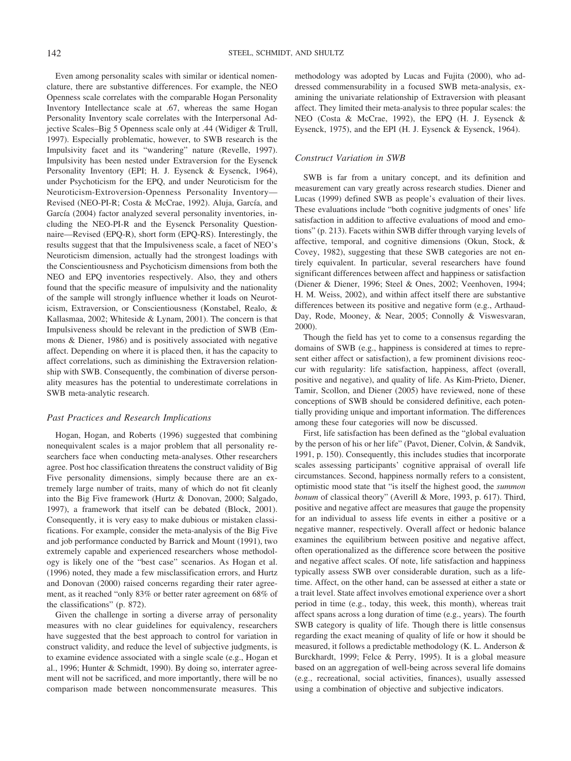Even among personality scales with similar or identical nomenclature, there are substantive differences. For example, the NEO Openness scale correlates with the comparable Hogan Personality Inventory Intellectance scale at .67, whereas the same Hogan Personality Inventory scale correlates with the Interpersonal Adjective Scales–Big 5 Openness scale only at .44 (Widiger & Trull, 1997). Especially problematic, however, to SWB research is the Impulsivity facet and its "wandering" nature (Revelle, 1997). Impulsivity has been nested under Extraversion for the Eysenck Personality Inventory (EPI; H. J. Eysenck & Eysenck, 1964), under Psychoticism for the EPQ, and under Neuroticism for the Neuroticism-Extroversion-Openness Personality Inventory— Revised (NEO-PI-R; Costa & McCrae, 1992). Aluja, García, and García (2004) factor analyzed several personality inventories, including the NEO-PI-R and the Eysenck Personality Questionnaire—Revised (EPQ-R), short form (EPQ-RS). Interestingly, the results suggest that that the Impulsiveness scale, a facet of NEO's Neuroticism dimension, actually had the strongest loadings with the Conscientiousness and Psychoticism dimensions from both the NEO and EPQ inventories respectively. Also, they and others found that the specific measure of impulsivity and the nationality of the sample will strongly influence whether it loads on Neuroticism, Extraversion, or Conscientiousness (Konstabel, Realo, & Kallasmaa, 2002; Whiteside & Lynam, 2001). The concern is that Impulsiveness should be relevant in the prediction of SWB (Emmons & Diener, 1986) and is positively associated with negative affect. Depending on where it is placed then, it has the capacity to affect correlations, such as diminishing the Extraversion relationship with SWB. Consequently, the combination of diverse personality measures has the potential to underestimate correlations in SWB meta-analytic research.

#### *Past Practices and Research Implications*

Hogan, Hogan, and Roberts (1996) suggested that combining nonequivalent scales is a major problem that all personality researchers face when conducting meta-analyses. Other researchers agree. Post hoc classification threatens the construct validity of Big Five personality dimensions, simply because there are an extremely large number of traits, many of which do not fit cleanly into the Big Five framework (Hurtz & Donovan, 2000; Salgado, 1997), a framework that itself can be debated (Block, 2001). Consequently, it is very easy to make dubious or mistaken classifications. For example, consider the meta-analysis of the Big Five and job performance conducted by Barrick and Mount (1991), two extremely capable and experienced researchers whose methodology is likely one of the "best case" scenarios. As Hogan et al. (1996) noted, they made a few misclassification errors, and Hurtz and Donovan (2000) raised concerns regarding their rater agreement, as it reached "only 83% or better rater agreement on 68% of the classifications" (p. 872).

Given the challenge in sorting a diverse array of personality measures with no clear guidelines for equivalency, researchers have suggested that the best approach to control for variation in construct validity, and reduce the level of subjective judgments, is to examine evidence associated with a single scale (e.g., Hogan et al., 1996; Hunter & Schmidt, 1990). By doing so, interrater agreement will not be sacrificed, and more importantly, there will be no comparison made between noncommensurate measures. This methodology was adopted by Lucas and Fujita (2000), who addressed commensurability in a focused SWB meta-analysis, examining the univariate relationship of Extraversion with pleasant affect. They limited their meta-analysis to three popular scales: the NEO (Costa & McCrae, 1992), the EPQ (H. J. Eysenck & Eysenck, 1975), and the EPI (H. J. Eysenck & Eysenck, 1964).

# *Construct Variation in SWB*

SWB is far from a unitary concept, and its definition and measurement can vary greatly across research studies. Diener and Lucas (1999) defined SWB as people's evaluation of their lives. These evaluations include "both cognitive judgments of ones' life satisfaction in addition to affective evaluations of mood and emotions" (p. 213). Facets within SWB differ through varying levels of affective, temporal, and cognitive dimensions (Okun, Stock, & Covey, 1982), suggesting that these SWB categories are not entirely equivalent. In particular, several researchers have found significant differences between affect and happiness or satisfaction (Diener & Diener, 1996; Steel & Ones, 2002; Veenhoven, 1994; H. M. Weiss, 2002), and within affect itself there are substantive differences between its positive and negative form (e.g., Arthaud-Day, Rode, Mooney, & Near, 2005; Connolly & Viswesvaran, 2000).

Though the field has yet to come to a consensus regarding the domains of SWB (e.g., happiness is considered at times to represent either affect or satisfaction), a few prominent divisions reoccur with regularity: life satisfaction, happiness, affect (overall, positive and negative), and quality of life. As Kim-Prieto, Diener, Tamir, Scollon, and Diener (2005) have reviewed, none of these conceptions of SWB should be considered definitive, each potentially providing unique and important information. The differences among these four categories will now be discussed.

First, life satisfaction has been defined as the "global evaluation by the person of his or her life" (Pavot, Diener, Colvin, & Sandvik, 1991, p. 150). Consequently, this includes studies that incorporate scales assessing participants' cognitive appraisal of overall life circumstances. Second, happiness normally refers to a consistent, optimistic mood state that "is itself the highest good, the *summon bonum* of classical theory" (Averill & More, 1993, p. 617). Third, positive and negative affect are measures that gauge the propensity for an individual to assess life events in either a positive or a negative manner, respectively. Overall affect or hedonic balance examines the equilibrium between positive and negative affect, often operationalized as the difference score between the positive and negative affect scales. Of note, life satisfaction and happiness typically assess SWB over considerable duration, such as a lifetime. Affect, on the other hand, can be assessed at either a state or a trait level. State affect involves emotional experience over a short period in time (e.g., today, this week, this month), whereas trait affect spans across a long duration of time (e.g., years). The fourth SWB category is quality of life. Though there is little consensus regarding the exact meaning of quality of life or how it should be measured, it follows a predictable methodology (K. L. Anderson & Burckhardt, 1999; Felce & Perry, 1995). It is a global measure based on an aggregation of well-being across several life domains (e.g., recreational, social activities, finances), usually assessed using a combination of objective and subjective indicators.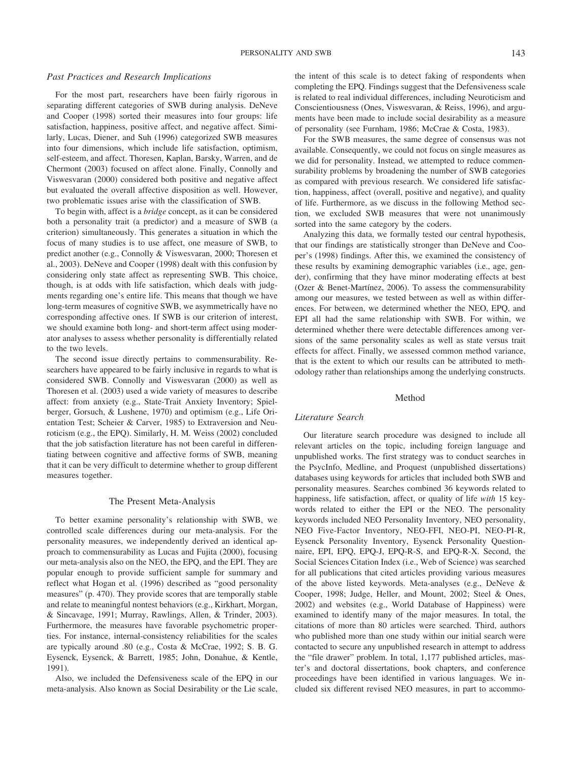#### *Past Practices and Research Implications*

For the most part, researchers have been fairly rigorous in separating different categories of SWB during analysis. DeNeve and Cooper (1998) sorted their measures into four groups: life satisfaction, happiness, positive affect, and negative affect. Similarly, Lucas, Diener, and Suh (1996) categorized SWB measures into four dimensions, which include life satisfaction, optimism, self-esteem, and affect. Thoresen, Kaplan, Barsky, Warren, and de Chermont (2003) focused on affect alone. Finally, Connolly and Viswesvaran (2000) considered both positive and negative affect but evaluated the overall affective disposition as well. However, two problematic issues arise with the classification of SWB.

To begin with, affect is a *bridge* concept, as it can be considered both a personality trait (a predictor) and a measure of SWB (a criterion) simultaneously. This generates a situation in which the focus of many studies is to use affect, one measure of SWB, to predict another (e.g., Connolly & Viswesvaran, 2000; Thoresen et al., 2003). DeNeve and Cooper (1998) dealt with this confusion by considering only state affect as representing SWB. This choice, though, is at odds with life satisfaction, which deals with judgments regarding one's entire life. This means that though we have long-term measures of cognitive SWB, we asymmetrically have no corresponding affective ones. If SWB is our criterion of interest, we should examine both long- and short-term affect using moderator analyses to assess whether personality is differentially related to the two levels.

The second issue directly pertains to commensurability. Researchers have appeared to be fairly inclusive in regards to what is considered SWB. Connolly and Viswesvaran (2000) as well as Thoresen et al. (2003) used a wide variety of measures to describe affect: from anxiety (e.g., State-Trait Anxiety Inventory; Spielberger, Gorsuch, & Lushene, 1970) and optimism (e.g., Life Orientation Test; Scheier & Carver, 1985) to Extraversion and Neuroticism (e.g., the EPQ). Similarly, H. M. Weiss (2002) concluded that the job satisfaction literature has not been careful in differentiating between cognitive and affective forms of SWB, meaning that it can be very difficult to determine whether to group different measures together.

#### The Present Meta-Analysis

To better examine personality's relationship with SWB, we controlled scale differences during our meta-analysis. For the personality measures, we independently derived an identical approach to commensurability as Lucas and Fujita (2000), focusing our meta-analysis also on the NEO, the EPQ, and the EPI. They are popular enough to provide sufficient sample for summary and reflect what Hogan et al. (1996) described as "good personality measures" (p. 470). They provide scores that are temporally stable and relate to meaningful nontest behaviors (e.g., Kirkhart, Morgan, & Sincavage, 1991; Murray, Rawlings, Allen, & Trinder, 2003). Furthermore, the measures have favorable psychometric properties. For instance, internal-consistency reliabilities for the scales are typically around .80 (e.g., Costa & McCrae, 1992; S. B. G. Eysenck, Eysenck, & Barrett, 1985; John, Donahue, & Kentle, 1991).

Also, we included the Defensiveness scale of the EPQ in our meta-analysis. Also known as Social Desirability or the Lie scale, the intent of this scale is to detect faking of respondents when completing the EPQ. Findings suggest that the Defensiveness scale is related to real individual differences, including Neuroticism and Conscientiousness (Ones, Viswesvaran, & Reiss, 1996), and arguments have been made to include social desirability as a measure of personality (see Furnham, 1986; McCrae & Costa, 1983).

For the SWB measures, the same degree of consensus was not available. Consequently, we could not focus on single measures as we did for personality. Instead, we attempted to reduce commensurability problems by broadening the number of SWB categories as compared with previous research. We considered life satisfaction, happiness, affect (overall, positive and negative), and quality of life. Furthermore, as we discuss in the following Method section, we excluded SWB measures that were not unanimously sorted into the same category by the coders.

Analyzing this data, we formally tested our central hypothesis, that our findings are statistically stronger than DeNeve and Cooper's (1998) findings. After this, we examined the consistency of these results by examining demographic variables (i.e., age, gender), confirming that they have minor moderating effects at best (Ozer  $&$  Benet-Martínez, 2006). To assess the commensurability among our measures, we tested between as well as within differences. For between, we determined whether the NEO, EPQ, and EPI all had the same relationship with SWB. For within, we determined whether there were detectable differences among versions of the same personality scales as well as state versus trait effects for affect. Finally, we assessed common method variance, that is the extent to which our results can be attributed to methodology rather than relationships among the underlying constructs.

#### Method

## *Literature Search*

Our literature search procedure was designed to include all relevant articles on the topic, including foreign language and unpublished works. The first strategy was to conduct searches in the PsycInfo, Medline, and Proquest (unpublished dissertations) databases using keywords for articles that included both SWB and personality measures. Searches combined 36 keywords related to happiness, life satisfaction, affect, or quality of life *with* 15 keywords related to either the EPI or the NEO. The personality keywords included NEO Personality Inventory, NEO personality, NEO Five-Factor Inventory, NEO-FFI, NEO-PI, NEO-PI-R, Eysenck Personality Inventory, Eysenck Personality Questionnaire, EPI, EPQ, EPQ-J, EPQ-R-S, and EPQ-R-X. Second, the Social Sciences Citation Index (i.e., Web of Science) was searched for all publications that cited articles providing various measures of the above listed keywords. Meta-analyses (e.g., DeNeve & Cooper, 1998; Judge, Heller, and Mount, 2002; Steel & Ones, 2002) and websites (e.g., World Database of Happiness) were examined to identify many of the major measures. In total, the citations of more than 80 articles were searched. Third, authors who published more than one study within our initial search were contacted to secure any unpublished research in attempt to address the "file drawer" problem. In total, 1,177 published articles, master's and doctoral dissertations, book chapters, and conference proceedings have been identified in various languages. We included six different revised NEO measures, in part to accommo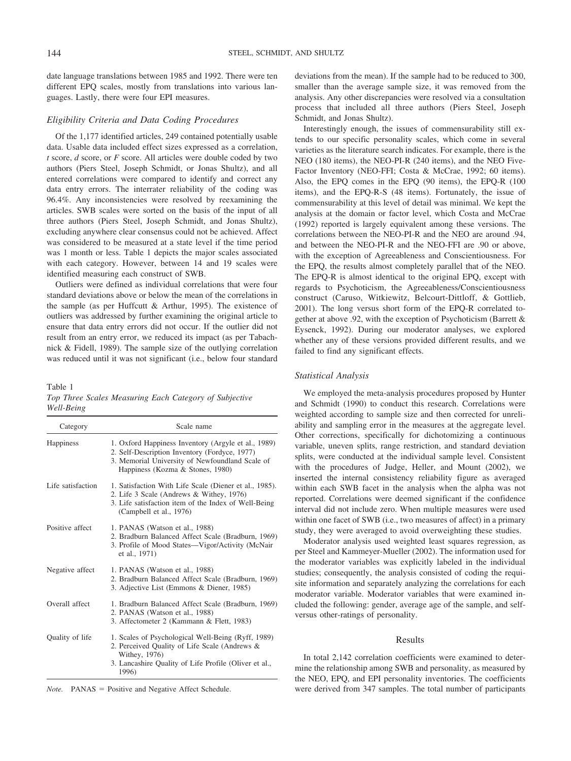date language translations between 1985 and 1992. There were ten different EPQ scales, mostly from translations into various languages. Lastly, there were four EPI measures.

#### *Eligibility Criteria and Data Coding Procedures*

Of the 1,177 identified articles, 249 contained potentially usable data. Usable data included effect sizes expressed as a correlation, *t* score, *d* score, or *F* score. All articles were double coded by two authors (Piers Steel, Joseph Schmidt, or Jonas Shultz), and all entered correlations were compared to identify and correct any data entry errors. The interrater reliability of the coding was 96.4%. Any inconsistencies were resolved by reexamining the articles. SWB scales were sorted on the basis of the input of all three authors (Piers Steel, Joseph Schmidt, and Jonas Shultz), excluding anywhere clear consensus could not be achieved. Affect was considered to be measured at a state level if the time period was 1 month or less. Table 1 depicts the major scales associated with each category. However, between 14 and 19 scales were identified measuring each construct of SWB.

Outliers were defined as individual correlations that were four standard deviations above or below the mean of the correlations in the sample (as per Huffcutt & Arthur, 1995). The existence of outliers was addressed by further examining the original article to ensure that data entry errors did not occur. If the outlier did not result from an entry error, we reduced its impact (as per Tabachnick & Fidell, 1989). The sample size of the outlying correlation was reduced until it was not significant (i.e., below four standard

Table 1

*Top Three Scales Measuring Each Category of Subjective Well-Being*

| Category          | Scale name                                                                                                                                                                                  |
|-------------------|---------------------------------------------------------------------------------------------------------------------------------------------------------------------------------------------|
| Happiness         | 1. Oxford Happiness Inventory (Argyle et al., 1989)<br>2. Self-Description Inventory (Fordyce, 1977)<br>3. Memorial University of Newfoundland Scale of<br>Happiness (Kozma & Stones, 1980) |
| Life satisfaction | 1. Satisfaction With Life Scale (Diener et al., 1985).<br>2. Life 3 Scale (Andrews & Withey, 1976)<br>3. Life satisfaction item of the Index of Well-Being<br>(Campbell et al., 1976)       |
| Positive affect   | 1. PANAS (Watson et al., 1988)<br>2. Bradburn Balanced Affect Scale (Bradburn, 1969)<br>3. Profile of Mood States—Vigor/Activity (McNair<br>et al., 1971)                                   |
| Negative affect   | 1. PANAS (Watson et al., 1988)<br>2. Bradburn Balanced Affect Scale (Bradburn, 1969)<br>3. Adjective List (Emmons & Diener, 1985)                                                           |
| Overall affect    | 1. Bradburn Balanced Affect Scale (Bradburn, 1969)<br>2. PANAS (Watson et al., 1988)<br>3. Affectometer 2 (Kammann & Flett, 1983)                                                           |
| Quality of life   | 1. Scales of Psychological Well-Being (Ryff, 1989)<br>2. Perceived Quality of Life Scale (Andrews &<br>Withey, 1976)<br>3. Lancashire Quality of Life Profile (Oliver et al.,<br>1996)      |

*Note.* PANAS = Positive and Negative Affect Schedule.

deviations from the mean). If the sample had to be reduced to 300, smaller than the average sample size, it was removed from the analysis. Any other discrepancies were resolved via a consultation process that included all three authors (Piers Steel, Joseph Schmidt, and Jonas Shultz).

Interestingly enough, the issues of commensurability still extends to our specific personality scales, which come in several varieties as the literature search indicates. For example, there is the NEO (180 items), the NEO-PI-R (240 items), and the NEO Five-Factor Inventory (NEO-FFI; Costa & McCrae, 1992; 60 items). Also, the EPQ comes in the EPQ (90 items), the EPQ-R (100 items), and the EPQ-R-S (48 items). Fortunately, the issue of commensurability at this level of detail was minimal. We kept the analysis at the domain or factor level, which Costa and McCrae (1992) reported is largely equivalent among these versions. The correlations between the NEO-PI-R and the NEO are around .94, and between the NEO-PI-R and the NEO-FFI are .90 or above, with the exception of Agreeableness and Conscientiousness. For the EPQ, the results almost completely parallel that of the NEO. The EPQ-R is almost identical to the original EPQ, except with regards to Psychoticism, the Agreeableness/Conscientiousness construct (Caruso, Witkiewitz, Belcourt-Dittloff, & Gottlieb, 2001). The long versus short form of the EPQ-R correlated together at above .92, with the exception of Psychoticism (Barrett & Eysenck, 1992). During our moderator analyses, we explored whether any of these versions provided different results, and we failed to find any significant effects.

# *Statistical Analysis*

We employed the meta-analysis procedures proposed by Hunter and Schmidt (1990) to conduct this research. Correlations were weighted according to sample size and then corrected for unreliability and sampling error in the measures at the aggregate level. Other corrections, specifically for dichotomizing a continuous variable, uneven splits, range restriction, and standard deviation splits, were conducted at the individual sample level. Consistent with the procedures of Judge, Heller, and Mount (2002), we inserted the internal consistency reliability figure as averaged within each SWB facet in the analysis when the alpha was not reported. Correlations were deemed significant if the confidence interval did not include zero. When multiple measures were used within one facet of SWB (i.e., two measures of affect) in a primary study, they were averaged to avoid overweighting these studies.

Moderator analysis used weighted least squares regression, as per Steel and Kammeyer-Mueller (2002). The information used for the moderator variables was explicitly labeled in the individual studies; consequently, the analysis consisted of coding the requisite information and separately analyzing the correlations for each moderator variable. Moderator variables that were examined included the following: gender, average age of the sample, and selfversus other-ratings of personality.

# Results

In total 2,142 correlation coefficients were examined to determine the relationship among SWB and personality, as measured by the NEO, EPQ, and EPI personality inventories. The coefficients were derived from 347 samples. The total number of participants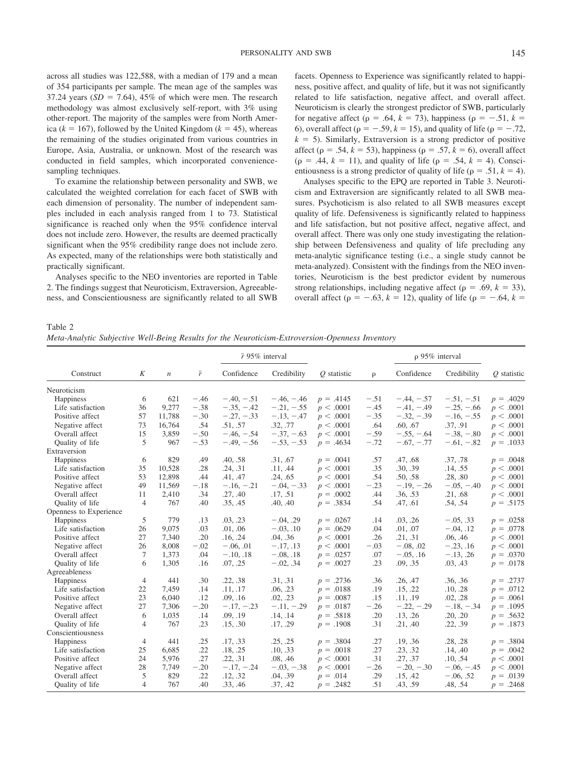across all studies was 122,588, with a median of 179 and a mean of 354 participants per sample. The mean age of the samples was 37.24 years  $(SD = 7.64)$ , 45% of which were men. The research methodology was almost exclusively self-report, with 3% using other-report. The majority of the samples were from North America ( $k = 167$ ), followed by the United Kingdom ( $k = 45$ ), whereas the remaining of the studies originated from various countries in Europe, Asia, Australia, or unknown. Most of the research was conducted in field samples, which incorporated conveniencesampling techniques.

To examine the relationship between personality and SWB, we calculated the weighted correlation for each facet of SWB with each dimension of personality. The number of independent samples included in each analysis ranged from 1 to 73. Statistical significance is reached only when the 95% confidence interval does not include zero. However, the results are deemed practically significant when the 95% credibility range does not include zero. As expected, many of the relationships were both statistically and practically significant.

Analyses specific to the NEO inventories are reported in Table 2. The findings suggest that Neuroticism, Extraversion, Agreeableness, and Conscientiousness are significantly related to all SWB facets. Openness to Experience was significantly related to happiness, positive affect, and quality of life, but it was not significantly related to life satisfaction, negative affect, and overall affect. Neuroticism is clearly the strongest predictor of SWB, particularly for negative affect ( $\rho = .64$ ,  $k = 73$ ), happiness ( $\rho = -.51$ ,  $k =$ 6), overall affect ( $\rho = -.59$ ,  $k = 15$ ), and quality of life ( $\rho = -.72$ ,  $k = 5$ ). Similarly, Extraversion is a strong predictor of positive affect ( $\rho = .54$ ,  $k = 53$ ), happiness ( $\rho = .57$ ,  $k = 6$ ), overall affect  $(\rho = .44, k = 11)$ , and quality of life  $(\rho = .54, k = 4)$ . Conscientiousness is a strong predictor of quality of life ( $\rho = .51, k = 4$ ).

Analyses specific to the EPQ are reported in Table 3. Neuroticism and Extraversion are significantly related to all SWB measures. Psychoticism is also related to all SWB measures except quality of life. Defensiveness is significantly related to happiness and life satisfaction, but not positive affect, negative affect, and overall affect. There was only one study investigating the relationship between Defensiveness and quality of life precluding any meta-analytic significance testing (i.e., a single study cannot be meta-analyzed). Consistent with the findings from the NEO inventories, Neuroticism is the best predictor evident by numerous strong relationships, including negative affect ( $\rho = .69$ ,  $k = 33$ ), overall affect ( $\rho = -.63$ ,  $k = 12$ ), quality of life ( $\rho = -.64$ ,  $k =$ 

Table 2

*Meta-Analytic Subjective Well-Being Results for the Neuroticism-Extroversion-Openness Inventory*

|                        |                |                  |                | $\bar{r}$ 95% interval |              |               |        |              | $\rho$ 95% interval |                |
|------------------------|----------------|------------------|----------------|------------------------|--------------|---------------|--------|--------------|---------------------|----------------|
| Construct              | K              | $\boldsymbol{n}$ | $\overline{r}$ | Confidence             | Credibility  | $O$ statistic | $\rho$ | Confidence   | Credibility         | $O$ statistic  |
| Neuroticism            |                |                  |                |                        |              |               |        |              |                     |                |
| <b>Happiness</b>       | 6              | 621              | $-.46$         | $-.40, -.51$           | $-.46, -.46$ | $p = .4145$   | $-.51$ | $-.44, -.57$ | $-.51, -.51$        | $p = .4029$    |
| Life satisfaction      | 36             | 9,277            | $-.38$         | $-.35, -.42$           | $-.21, -.55$ | p < .0001     | $-.45$ | $-.41, -.49$ | $-.25, -.66$        | p < .0001      |
| Positive affect        | 57             | 11,788           | $-.30$         | $-.27, -.33$           | $-.13, -.47$ | p < .0001     | $-.35$ | $-.32, -.39$ | $-.16, -.55$        | p < .0001      |
| Negative affect        | 73             | 16.764           | .54            | .51, .57               | .32, .77     | p < .0001     | .64    | .60, .67     | .37, .91            | p < .0001      |
| Overall affect         | 15             | 3.859            | $-.50$         | $-.46, -.54$           | $-.37, -.63$ | p < .0001     | $-.59$ | $-.55, -.64$ | $-.38, -.80$        | p < .0001      |
| Quality of life        | 5              | 967              | $-.53$         | $-.49, -.56$           | $-.53, -.53$ | $p = .4634$   | $-.72$ | $-.67, -.77$ | $-.61, -.82$        | $p = .1033$    |
| Extraversion           |                |                  |                |                        |              |               |        |              |                     |                |
| Happiness              | 6              | 829              | .49            | .40, .58               | .31, .67     | $p = .0041$   | .57    | .47, .68     | .37, .78            | $p = .0048$    |
| Life satisfaction      | 35             | 10,528           | .28            | .24, .31               | .11, .44     | p < .0001     | .35    | .30, .39     | .14, .55            | p < .0001      |
| Positive affect        | 53             | 12,898           | .44            | .41, .47               | .24, .65     | p < .0001     | .54    | .50, .58     | .28, .80            | p < .0001      |
| Negative affect        | 49             | 11,569           | $-.18$         | $-.16, -.21$           | $-.04, -.33$ | p < .0001     | $-.23$ | $-.19, -.26$ | $-.05, -.40$        | p < .0001      |
| Overall affect         | 11             | 2.410            | .34            | .27, .40               | .17, .51     | $p = .0002$   | .44    | .36, .53     | .21, .68            | p < .0001      |
| Quality of life        | $\overline{4}$ | 767              | .40            | .35, .45               | .40, .40     | $p = .3834$   | .54    | .47, .61     | .54, .54            | $p = .5175$    |
| Openness to Experience |                |                  |                |                        |              |               |        |              |                     |                |
| Happiness              | 5              | 779              | .13            | .03, .23               | $-.04, .29$  | $p = .0267$   | .14    | .03, .26     | $-.05, .33$         | $p = .0258$    |
| Life satisfaction      | 26             | 9,075            | .03            | .01, .06               | $-.03, .10$  | $p = .0629$   | .04    | .01, .07     | $-.04, .12$         | $p = .0778$    |
| Positive affect        | 27             | 7,340            | .20            | .16, .24               | .04, .36     | p < .0001     | .26    | .21, .31     | .06, .46            | p < .0001      |
| Negative affect        | 26             | 8,008            | $-.02$         | $-.06, .01$            | $-.17, .13$  | p < .0001     | $-.03$ | $-.08, .02$  | $-.23, .16$         | p < .0001      |
| Overall affect         | 7              | 1,373            | .04            | $-.10, .18$            | $-.08, .18$  | $p = .0257$   | .07    | $-.05, .16$  | $-.13, .26$         | $p = .0370$    |
| Quality of life        | 6              | 1,305            | .16            | .07, .25               | $-.02, .34$  | $p = .0027$   | .23    | .09, .35     | .03, .43            | $p = .0178$    |
| Agreeableness          |                |                  |                |                        |              |               |        |              |                     |                |
| Happiness              | $\overline{4}$ | 441              | .30            | .22, .38               | .31, .31     | $p = .2736$   | .36    | .26, .47     | .36, .36            | $p = .2737$    |
| Life satisfaction      | 22             | 7.459            | .14            | .11, .17               | .06, .23     | $p = .0188$   | .19    | .15, .22     | .10, .28            | .0712<br>$p =$ |
| Positive affect        | 23             | 6.040            | .12            | .09, .16               | .02, .23     | $p = .0087$   | .15    | .11, .19     | .02, .28            | $p = .0061$    |
| Negative affect        | 27             | 7,306            | $-.20$         | $-.17, -.23$           | $-.11, -.29$ | $p = .0187$   | $-.26$ | $-.22, -.29$ | $-.18, -.34$        | $p = .1095$    |
| Overall affect         | 6              | 1,035            | .14            | .09, .19               | .14, .14     | $p = .5818$   | .20    | .13, .26     | .20, .20            | $p = .5632$    |
| Quality of life        | $\overline{4}$ | 767              | .23            | .15, .30               | .17, .29     | $p = .1908$   | .31    | .21, .40     | .22, .39            | $p = .1873$    |
| Conscientiousness      |                |                  |                |                        |              |               |        |              |                     |                |
| Happiness              | $\overline{4}$ | 441              | .25            | .17, .33               | .25, .25     | $p = .3804$   | .27    | .19, .36     | .28, .28            | $p = .3804$    |
| Life satisfaction      | 25             | 6,685            | .22            | .18, .25               | .10, .33     | $p = .0018$   | .27    | .23, .32     | .14, .40            | $p = .0042$    |
| Positive affect        | 24             | 5,976            | .27            | .22, .31               | .08, .46     | p < .0001     | .31    | .27, .37     | .10, .54            | p < .0001      |
| Negative affect        | 28             | 7,749            | $-.20$         | $-.17, -.24$           | $-.03, -.38$ | p < .0001     | $-.26$ | $-.20, -.30$ | $-.06, -.45$        | p < .0001      |
| Overall affect         | 5              | 829              | .22            | .12, .32               | .04, .39     | $p = .014$    | .29    | .15, .42     | $-.06, .52$         | $p = .0139$    |
| Quality of life        | $\overline{4}$ | 767              | .40            | .33, .46               | .37, .42     | $p = .2482$   | .51    | .43, .59     | .48, .54            | $p = .2468$    |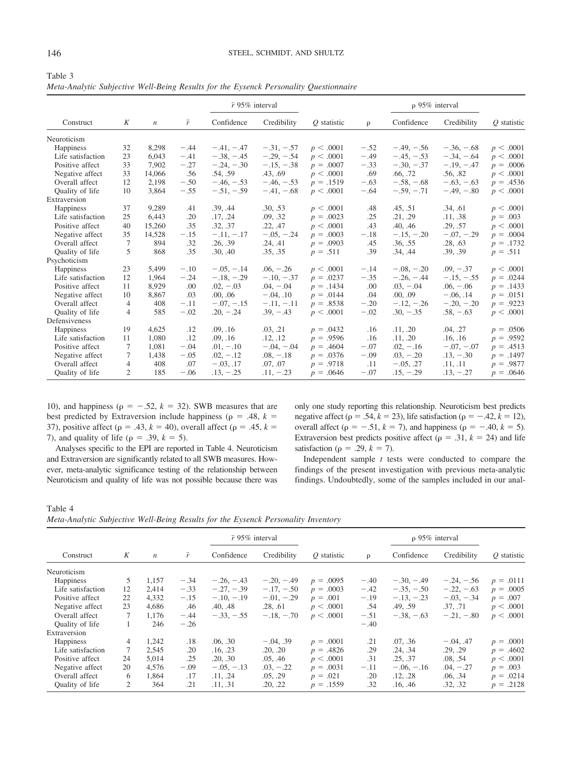| Table 3                                                                               |  |  |  |
|---------------------------------------------------------------------------------------|--|--|--|
| Meta-Analytic Subjective Well-Being Results for the Eysenck Personality Questionnaire |  |  |  |

|                   |    |                  |                | $\bar{r}$ 95% interval |              |               |        | $\rho$ 95% interval |              |                |
|-------------------|----|------------------|----------------|------------------------|--------------|---------------|--------|---------------------|--------------|----------------|
| Construct         | K  | $\boldsymbol{n}$ | $\overline{r}$ | Confidence             | Credibility  | $Q$ statistic | $\rho$ | Confidence          | Credibility  | $Q$ statistic  |
| Neuroticism       |    |                  |                |                        |              |               |        |                     |              |                |
| Happiness         | 32 | 8,298            | $-.44$         | $-.41, -.47$           | $-.31, -.57$ | p < .0001     | $-.52$ | $-.49, -.56$        | $-.36, -.68$ | p < .0001      |
| Life satisfaction | 23 | 6.043            | $-.41$         | $-.38, -.45$           | $-.29, -.54$ | p < .0001     | $-.49$ | $-.45, -.53$        | $-.34, -.64$ | p < .0001      |
| Positive affect   | 33 | 7,902            | $-.27$         | $-.24, -.30$           | $-.15, -.38$ | $p = .0007$   | $-.33$ | $-.30, -.37$        | $-.19, -.47$ | $p = .0006$    |
| Negative affect   | 33 | 14,066           | .56            | .54, .59               | .43, .69     | p < .0001     | .69    | .66, .72            | .56, .82     | p < .0001      |
| Overall affect    | 12 | 2,198            | $-.50$         | $-.46, -.53$           | $-.46, -.53$ | $p = .1519$   | $-.63$ | $-.58, -.68$        | $-.63, -.63$ | $p = .4536$    |
| Quality of life   | 10 | 3,864            | $-.55$         | $-.51, -.59$           | $-.41, -.68$ | p < .0001     | $-.64$ | $-.59, -.71$        | $-.49, -.80$ | p < .0001      |
| Extraversion      |    |                  |                |                        |              |               |        |                     |              |                |
| Happiness         | 37 | 9,289            | .41            | .39, .44               | .30, .53     | p < .0001     | .48    | .45, .51            | .34, .61     | p < .0001      |
| Life satisfaction | 25 | 6.443            | .20            | .17, .24               | .09, .32     | $p = .0023$   | .25    | .21, .29            | .11, .38     | $p = .003$     |
| Positive affect   | 40 | 15.260           | .35            | .32, .37               | .22, .47     | p < .0001     | .43    | .40, .46            | .29, .57     | p < .0001      |
| Negative affect   | 35 | 14,528           | $-.15$         | $-.11, -.17$           | $-.05, -.24$ | $p = .0003$   | $-.18$ | $-.15, -.20$        | $-.07, -.29$ | $p = .0004$    |
| Overall affect    | 7  | 894              | .32            | .26, .39               | .24, .41     | $p = .0903$   | .45    | .36, .55            | .28, .63     | $p = .1732$    |
| Quality of life   | 5  | 868              | .35            | .30, .40               | .35, .35     | $p = .511$    | .39    | .34, .44            | .39, .39     | $p = .511$     |
| Psychoticism      |    |                  |                |                        |              |               |        |                     |              |                |
| Happiness         | 23 | 5,499            | $-.10$         | $-.05, -.14$           | $.06, -.26$  | p < .0001     | $-.14$ | $-.08, -.20$        | $.09 - .37$  | p < .0001      |
| Life satisfaction | 12 | 1.964            | $-.24$         | $-.18, -.29$           | $-.10, -.37$ | $p = .0237$   | $-.35$ | $-.26, -.44$        | $-.15, -.55$ | $p = .0244$    |
| Positive affect   | 11 | 8.929            | .00            | $.02, -.03$            | $.04, -.04$  | $p = .1434$   | .00    | $.03, -.04$         | $.06, -.06$  | $p = .1433$    |
| Negative affect   | 10 | 8,867            | .03            | .00, .06               | $-.04, .10$  | $p = .0144$   | .04    | .00, .09            | $-.06, .14$  | $p = .0151$    |
| Overall affect    | 4  | 408              | $-.11$         | $-.07, -.15$           | $-.11, -.11$ | $p = .8538$   | $-.20$ | $-.12, -.26$        | $-.20, -.20$ | $p = .9223$    |
| Quality of life   | 4  | 585              | $-.02$         | $.20, -.24$            | $.39, -.43$  | p < .0001     | $-.02$ | $.30, -.35$         | $.58, -.63$  | p < .0001      |
| Defensiveness     |    |                  |                |                        |              |               |        |                     |              |                |
| Happiness         | 19 | 4,625            | .12            | .09, .16               | .03, .21     | $p = .0432$   | .16    | .11, .20            | .04, .27     | $p = .0506$    |
| Life satisfaction | 11 | 1,080            | .12            | .09, .16               | .12, .12     | $p = .9596$   | .16    | .11, .20            | .16, .16     | $p = .9592$    |
| Positive affect   | 7  | 1,081            | $-.04$         | $.01, -.10$            | $-.04, -.04$ | $p = .4604$   | $-.07$ | $.02, -.16$         | $-.07, -.07$ | $p = .4513$    |
| Negative affect   | 7  | 1,438            | $-.05$         | $.02, -.12$            | $.08, -.18$  | $p = .0376$   | $-.09$ | $.03, -.20$         | $.13, -.30$  | .1497<br>$p =$ |
| Overall affect    | 4  | 408              | .07            | $-.03, .17$            | .07, .07     | $p = .9718$   | .11    | $-.05, .27$         | .11, .11     | $p = .9877$    |
| Quality of life   | 2  | 185              | $-.06$         | $.13, -.25$            | $.11, -.23$  | $p = .0646$   | $-.07$ | $.15, -.29$         | $.13, -.27$  | $p = .0646$    |

10), and happiness ( $\rho = -.52$ ,  $k = 32$ ). SWB measures that are best predicted by Extraversion include happiness ( $\rho = .48$ ,  $k =$ 37), positive affect ( $\rho = .43, k = 40$ ), overall affect ( $\rho = .45, k = 40$ ) 7), and quality of life ( $\rho = .39$ ,  $k = 5$ ).

Analyses specific to the EPI are reported in Table 4. Neuroticism and Extraversion are significantly related to all SWB measures. However, meta-analytic significance testing of the relationship between Neuroticism and quality of life was not possible because there was only one study reporting this relationship. Neuroticism best predicts negative affect ( $\rho = .54$ ,  $k = 23$ ), life satisfaction ( $\rho = -.42$ ,  $k = 12$ ), overall affect ( $\rho = -.51, k = 7$ ), and happiness ( $\rho = -.40, k = 5$ ). Extraversion best predicts positive affect ( $\rho = .31$ ,  $k = 24$ ) and life satisfaction ( $\rho = .29$ ,  $k = 7$ ).

Independent sample *t* tests were conducted to compare the findings of the present investigation with previous meta-analytic findings. Undoubtedly, some of the samples included in our anal-

Table 4 *Meta-Analytic Subjective Well-Being Results for the Eysenck Personality Inventory*

|                   |    |                  |           | $\bar{r}$ 95% interval |              |             |        |              | $\rho$ 95% interval |                          |
|-------------------|----|------------------|-----------|------------------------|--------------|-------------|--------|--------------|---------------------|--------------------------|
| Construct         | K  | $\boldsymbol{n}$ | $\bar{r}$ | Confidence             | Credibility  | Q statistic | $\rho$ | Confidence   | Credibility         | $\overline{O}$ statistic |
| Neuroticism       |    |                  |           |                        |              |             |        |              |                     |                          |
| Happiness         | 5. | 1,157            | $-.34$    | $-.26, -.43$           | $-.20, -.49$ | $p = .0095$ | $-.40$ | $-.30, -.49$ | $-.24, -.56$        | $p = .0111$              |
| Life satisfaction | 12 | 2,414            | $-.33$    | $-.27, -.39$           | $-.17, -.50$ | $p = .0003$ | $-.42$ | $-.35, -.50$ | $-.22, -.63$        | $p = .0005$              |
| Positive affect   | 22 | 4,332            | $-.15$    | $-.10, -.19$           | $-.01, -.29$ | $p = .001$  | $-.19$ | $-.13, -.23$ | $-.03, -.34$        | $p = .007$               |
| Negative affect   | 23 | 4.686            | .46       | .40, .48               | .28, .61     | p < .0001   | .54    | .49, .59     | .37, .71            | p < .0001                |
| Overall affect    | 7  | 1.176            | $-.44$    | $-.33, -.55$           | $-.18, -.70$ | p < .0001   | $-.51$ | $-.38, -.63$ | $-.21, -.80$        | p < .0001                |
| Quality of life   |    | 246              | $-.26$    |                        |              |             | $-.40$ |              |                     |                          |
| Extraversion      |    |                  |           |                        |              |             |        |              |                     |                          |
| Happiness         | 4  | 1,242            | .18       | .06, .30               | $-.04, .39$  | $p = .0001$ | .21    | .07, .36     | $-.04, .47$         | $p = .0001$              |
| Life satisfaction |    | 2,545            | .20       | .16, .23               | .20, .20     | $p = .4826$ | .29    | .24, .34     | .29. .29            | $p = .4602$              |
| Positive affect   | 24 | 5.014            | .25       | .20, .30               | .05, .46     | p < .0001   | .31    | .25, .37     | .08, .54            | p < .0001                |
| Negative affect   | 20 | 4.576            | $-.09$    | $-.05, -.13$           | $.03, -.22$  | $p = .0031$ | $-.11$ | $-.06, -.16$ | $.04, -.27$         | $p = .003$               |
| Overall affect    | 6  | 1.864            | .17       | .11, .24               | .05, .29     | $p = .021$  | .20    | .12, .28     | .06, .34            | $p = .0214$              |
| Quality of life   | 2  | 364              | .21       | .11, .31               | .20, .22     | $p = .1559$ | .32    | .16, .46     | .32, .32            | $p = .2128$              |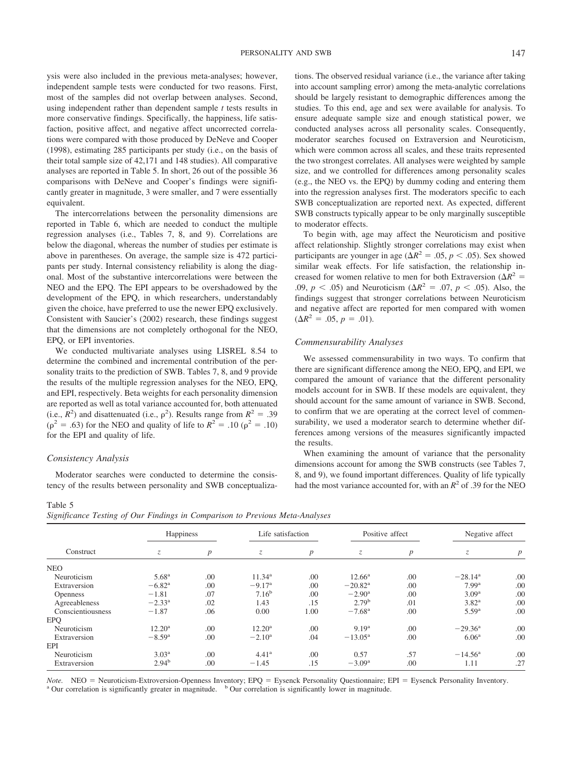ysis were also included in the previous meta-analyses; however, independent sample tests were conducted for two reasons. First, most of the samples did not overlap between analyses. Second, using independent rather than dependent sample *t* tests results in more conservative findings. Specifically, the happiness, life satisfaction, positive affect, and negative affect uncorrected correlations were compared with those produced by DeNeve and Cooper (1998), estimating 285 participants per study (i.e., on the basis of their total sample size of 42,171 and 148 studies). All comparative analyses are reported in Table 5. In short, 26 out of the possible 36 comparisons with DeNeve and Cooper's findings were significantly greater in magnitude, 3 were smaller, and 7 were essentially equivalent.

The intercorrelations between the personality dimensions are reported in Table 6, which are needed to conduct the multiple regression analyses (i.e., Tables 7, 8, and 9). Correlations are below the diagonal, whereas the number of studies per estimate is above in parentheses. On average, the sample size is 472 participants per study. Internal consistency reliability is along the diagonal. Most of the substantive intercorrelations were between the NEO and the EPQ. The EPI appears to be overshadowed by the development of the EPQ, in which researchers, understandably given the choice, have preferred to use the newer EPQ exclusively. Consistent with Saucier's (2002) research, these findings suggest that the dimensions are not completely orthogonal for the NEO, EPQ, or EPI inventories.

We conducted multivariate analyses using LISREL 8.54 to determine the combined and incremental contribution of the personality traits to the prediction of SWB. Tables 7, 8, and 9 provide the results of the multiple regression analyses for the NEO, EPQ, and EPI, respectively. Beta weights for each personality dimension are reported as well as total variance accounted for, both attenuated (i.e.,  $\mathbb{R}^2$ ) and disattenuated (i.e.,  $\rho^2$ ). Results range from  $\mathbb{R}^2 = .39$ ( $\rho^2 = .63$ ) for the NEO and quality of life to  $R^2 = .10$  ( $\rho^2 = .10$ ) for the EPI and quality of life.

# *Consistency Analysis*

Moderator searches were conducted to determine the consistency of the results between personality and SWB conceptualiza-

tions. The observed residual variance (i.e., the variance after taking into account sampling error) among the meta-analytic correlations should be largely resistant to demographic differences among the studies. To this end, age and sex were available for analysis. To ensure adequate sample size and enough statistical power, we conducted analyses across all personality scales. Consequently, moderator searches focused on Extraversion and Neuroticism, which were common across all scales, and these traits represented the two strongest correlates. All analyses were weighted by sample size, and we controlled for differences among personality scales (e.g., the NEO vs. the EPQ) by dummy coding and entering them into the regression analyses first. The moderators specific to each SWB conceptualization are reported next. As expected, different SWB constructs typically appear to be only marginally susceptible to moderator effects.

To begin with, age may affect the Neuroticism and positive affect relationship. Slightly stronger correlations may exist when participants are younger in age ( $\Delta R^2 = .05$ ,  $p < .05$ ). Sex showed similar weak effects. For life satisfaction, the relationship increased for women relative to men for both Extraversion ( $\Delta R^2$  = .09,  $p < .05$ ) and Neuroticism ( $\Delta R^2 = .07$ ,  $p < .05$ ). Also, the findings suggest that stronger correlations between Neuroticism and negative affect are reported for men compared with women  $(\Delta R^2 = .05, p = .01).$ 

# *Commensurability Analyses*

We assessed commensurability in two ways. To confirm that there are significant difference among the NEO, EPQ, and EPI, we compared the amount of variance that the different personality models account for in SWB. If these models are equivalent, they should account for the same amount of variance in SWB. Second, to confirm that we are operating at the correct level of commensurability, we used a moderator search to determine whether differences among versions of the measures significantly impacted the results.

When examining the amount of variance that the personality dimensions account for among the SWB constructs (see Tables 7, 8, and 9), we found important differences. Quality of life typically had the most variance accounted for, with an  $R^2$  of .39 for the NEO

Table 5

*Significance Testing of Our Findings in Comparison to Previous Meta-Analyses*

|                   | Happiness            |                  |                      | Life satisfaction |                       | Positive affect  | Negative affect   |           |
|-------------------|----------------------|------------------|----------------------|-------------------|-----------------------|------------------|-------------------|-----------|
| Construct         | $\mathcal{Z}$        | $\boldsymbol{p}$ | $\mathcal{Z}$        | $\boldsymbol{p}$  | Z.                    | $\boldsymbol{p}$ | Z.                | $p_{\rm}$ |
| <b>NEO</b>        |                      |                  |                      |                   |                       |                  |                   |           |
| Neuroticism       | 5.68 <sup>a</sup>    | .00              | 11.34 <sup>a</sup>   | .00               | $12.66^{\rm a}$       | .00              | $-28.14^{\rm a}$  | .00       |
| Extraversion      | $-6.82$ <sup>a</sup> | .00              | $-9.17$ <sup>a</sup> | .00               | $-20.82$ <sup>a</sup> | .00              | 7.99 <sup>a</sup> | .00       |
| <b>Openness</b>   | $-1.81$              | .07              | 7.16 <sup>b</sup>    | .00               | $-2.90^{\rm a}$       | .00              | 3.09 <sup>a</sup> | .00       |
| Agreeableness     | $-2.33^{\rm a}$      | .02              | 1.43                 | .15               | 2.79 <sup>b</sup>     | .01              | 3.82 <sup>a</sup> | .00       |
| Conscientiousness | $-1.87$              | .06              | 0.00                 | 1.00              | $-7.68$ <sup>a</sup>  | .00              | 5.59 <sup>a</sup> | .00       |
| <b>EPQ</b>        |                      |                  |                      |                   |                       |                  |                   |           |
| Neuroticism       | $12.20^{\rm a}$      | .00              | $12.20^{\rm a}$      | .00               | 9.19 <sup>a</sup>     | .00              | $-29.36^{\rm a}$  | .00       |
| Extraversion      | $-8.59$ <sup>a</sup> | .00              | $-2.10^{\rm a}$      | .04               | $-13.05^{\rm a}$      | .00              | 6.06 <sup>a</sup> | .00       |
| EPI               |                      |                  |                      |                   |                       |                  |                   |           |
| Neuroticism       | 3.03 <sup>a</sup>    | .00.             | 4.41 <sup>a</sup>    | .00               | 0.57                  | .57              | $-14.56^{\rm a}$  | .00       |
| Extraversion      | 2.94 <sup>b</sup>    | .00              | $-1.45$              | .15               | $-3.09^{\rm a}$       | .00              | 1.11              | .27       |

*Note.* NEO = Neuroticism-Extroversion-Openness Inventory; EPQ = Eysenck Personality Questionnaire; EPI = Eysenck Personality Inventory.<br><sup>a</sup> Our correlation is significantly greater in magnitude. <sup>b</sup> Our correlation is si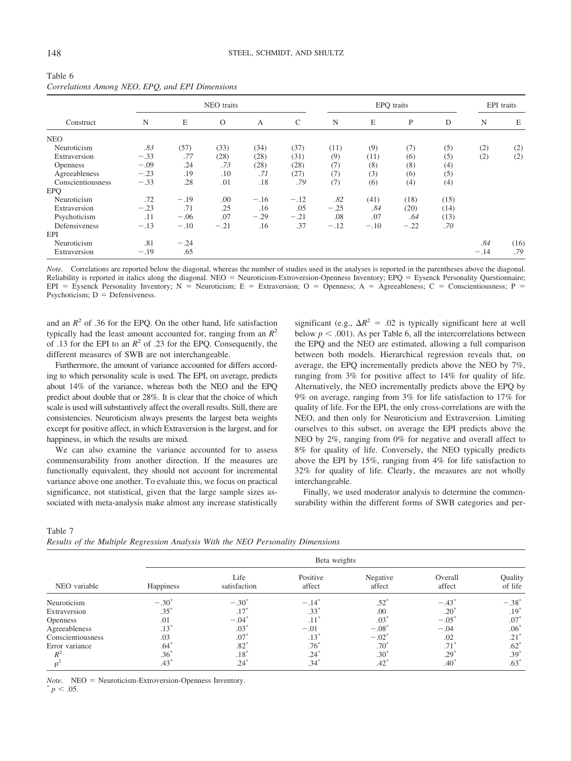|                   |        |        | NEO traits |        |               |        |        | EPQ traits |      | EPI traits  |      |
|-------------------|--------|--------|------------|--------|---------------|--------|--------|------------|------|-------------|------|
| Construct         | N      | E      | $\Omega$   | A      | $\mathcal{C}$ | N      | E      | P          | D    | $\mathbf N$ | E    |
| <b>NEO</b>        |        |        |            |        |               |        |        |            |      |             |      |
| Neuroticism       | .83    | (57)   | (33)       | (34)   | (37)          | (11)   | (9)    | (7)        | (5)  | (2)         | (2)  |
| Extraversion      | $-.33$ | .77    | (28)       | (28)   | (31)          | (9)    | (11)   | (6)        | (5)  | (2)         | (2)  |
| <b>Openness</b>   | $-.09$ | .24    | .73        | (28)   | (28)          | (7)    | (8)    | (8)        | (4)  |             |      |
| Agreeableness     | $-.23$ | .19    | .10        | .71    | (27)          | (7)    | (3)    | (6)        | (5)  |             |      |
| Conscientiousness | $-.33$ | .28    | .01        | .18    | .79           | (7)    | (6)    | (4)        | (4)  |             |      |
| <b>EPQ</b>        |        |        |            |        |               |        |        |            |      |             |      |
| Neuroticism       | .72    | $-.19$ | .00        | $-.16$ | $-.12$        | .82    | (41)   | (18)       | (15) |             |      |
| Extraversion      | $-.23$ | .71    | .25        | .16    | .05           | $-.25$ | .84    | (20)       | (14) |             |      |
| Psychoticism      | .11    | $-.06$ | .07        | $-.29$ | $-.21$        | .08    | .07    | .64        | (13) |             |      |
| Defensiveness     | $-.13$ | $-.10$ | $-.21$     | .16    | .37           | $-.12$ | $-.10$ | $-.22$     | .70  |             |      |
| <b>EPI</b>        |        |        |            |        |               |        |        |            |      |             |      |
| Neuroticism       | .81    | $-.24$ |            |        |               |        |        |            |      | .84         | (16) |
| Extraversion      | $-.19$ | .65    |            |        |               |        |        |            |      | $-.14$      | .79  |

| Table 6                                         |  |  |  |  |
|-------------------------------------------------|--|--|--|--|
| Correlations Among NEO, EPO, and EPI Dimensions |  |  |  |  |

*Note.* Correlations are reported below the diagonal, whereas the number of studies used in the analyses is reported in the parentheses above the diagonal. Reliability is reported in italics along the diagonal. NEO = Neuroticism-Extroversion-Openness Inventory; EPQ = Eysenck Personality Questionnaire; EPI = Eysenck Personality Inventory; N = Neuroticism; E = Extraversion; O = Openness; A = Agreeableness; C = Conscientiousness; P =  $Psychoticism; D = Defensiveness.$ 

and an  $R^2$  of .36 for the EPQ. On the other hand, life satisfaction typically had the least amount accounted for, ranging from an *R*<sup>2</sup> of .13 for the EPI to an  $R^2$  of .23 for the EPQ. Consequently, the different measures of SWB are not interchangeable.

Furthermore, the amount of variance accounted for differs according to which personality scale is used. The EPI, on average, predicts about 14% of the variance, whereas both the NEO and the EPQ predict about double that or 28%. It is clear that the choice of which scale is used will substantively affect the overall results. Still, there are consistencies. Neuroticism always presents the largest beta weights except for positive affect, in which Extraversion is the largest, and for happiness, in which the results are mixed.

We can also examine the variance accounted for to assess commensurability from another direction. If the measures are functionally equivalent, they should not account for incremental variance above one another. To evaluate this, we focus on practical significance, not statistical, given that the large sample sizes associated with meta-analysis make almost any increase statistically

significant (e.g.,  $\Delta R^2 = .02$  is typically significant here at well below  $p < .001$ ). As per Table 6, all the intercorrelations between the EPQ and the NEO are estimated, allowing a full comparison between both models. Hierarchical regression reveals that, on average, the EPQ incrementally predicts above the NEO by 7%, ranging from 3% for positive affect to 14% for quality of life. Alternatively, the NEO incrementally predicts above the EPQ by 9% on average, ranging from 3% for life satisfaction to 17% for quality of life. For the EPI, the only cross-correlations are with the NEO, and then only for Neuroticism and Extraversion. Limiting ourselves to this subset, on average the EPI predicts above the NEO by 2%, ranging from 0% for negative and overall affect to 8% for quality of life. Conversely, the NEO typically predicts above the EPI by 15%, ranging from 4% for life satisfaction to 32% for quality of life. Clearly, the measures are not wholly interchangeable.

Finally, we used moderator analysis to determine the commensurability within the different forms of SWB categories and per-

Table 7

|  |  |  |  |  |  |  |  | Results of the Multiple Regression Analysis With the NEO Personality Dimensions |
|--|--|--|--|--|--|--|--|---------------------------------------------------------------------------------|
|--|--|--|--|--|--|--|--|---------------------------------------------------------------------------------|

|                   | Beta weights   |                      |                    |                    |                   |                    |  |  |  |  |
|-------------------|----------------|----------------------|--------------------|--------------------|-------------------|--------------------|--|--|--|--|
| NEO variable      | Happiness      | Life<br>satisfaction | Positive<br>affect | Negative<br>affect | Overall<br>affect | Quality<br>of life |  |  |  |  |
| Neuroticism       | $-.30^{\circ}$ | $-.30^{\circ}$       | $-.14^*$           | $.52^{\circ}$      | $-.43'$           | $-.38*$            |  |  |  |  |
| Extraversion      | $.35^{\circ}$  | .17                  | .33                | .00                | $.20^\circ$       | $.19*$             |  |  |  |  |
| <b>Openness</b>   | .01            | $-.04^{\circ}$       | .11                | .03                | $-.05^{\circ}$    | $.07*$             |  |  |  |  |
| Agreeableness     | .13'           | .03                  | $-.01$             | $-.08$             | $-.04$            | $.06*$             |  |  |  |  |
| Conscientiousness | .03            | .07                  | $.13*$             | $-.02$             | .02               | $.21*$             |  |  |  |  |
| Error variance    | .64            | .82                  | $.76^*$            | $.70^{\circ}$      | .71               | $.62*$             |  |  |  |  |
| $R^2$             | $.36^*$        | $.18^{*}$            | $.24^{\circ}$      | .30 <sup>°</sup>   | $.29*$            | $.39*$             |  |  |  |  |
|                   | $.43^*$        | $.24$ <sup>2</sup>   | $.34*$             | .42                | $.40^\circ$       | $.63*$             |  |  |  |  |

*Note.* NEO = Neuroticism-Extroversion-Openness Inventory.  $p < .05$ .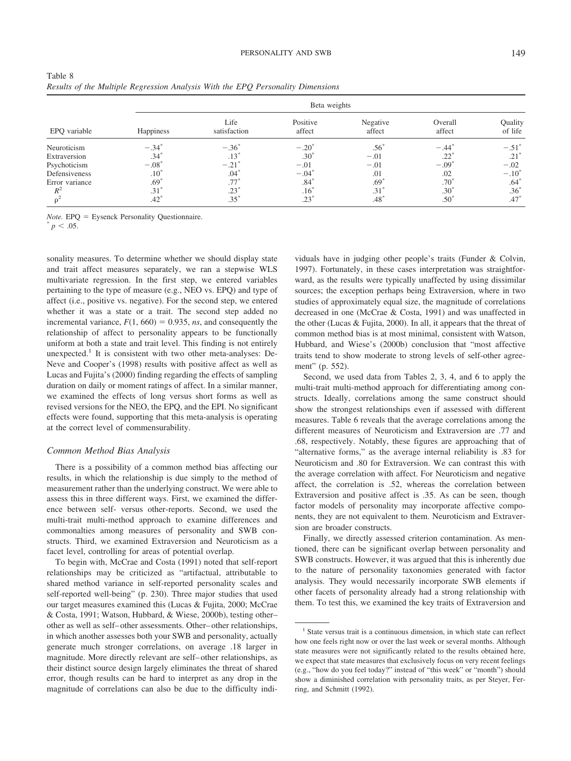|                | Beta weights        |                      |                     |                    |                     |                    |  |  |  |  |
|----------------|---------------------|----------------------|---------------------|--------------------|---------------------|--------------------|--|--|--|--|
| EPQ variable   | Happiness           | Life<br>satisfaction | Positive<br>affect  | Negative<br>affect | Overall<br>affect   | Quality<br>of life |  |  |  |  |
| Neuroticism    | $-.34$ <sup>'</sup> | $-.36$               | $-.20^{\circ}$      | $.56^\circ$        | $-.44$ <sup>'</sup> | $-.51$             |  |  |  |  |
| Extraversion   | .34                 | .13                  | $.30^{\degree}$     | $-.01$             | .22                 | $.21^{\circ}$      |  |  |  |  |
| Psychoticism   | $-.08^{\circ}$      | $-.21$               | $-.01$              | $-.01$             | $-.09'$             | $-.02$             |  |  |  |  |
| Defensiveness  | .10 <sup>°</sup>    | .04                  | $-.04$ <sup>*</sup> | .01                | .02                 | $-.10^{\circ}$     |  |  |  |  |
| Error variance | $.69^{\circ}$       | .77                  | .84                 | $.69^{\circ}$      | .70                 | $.64^{\circ}$      |  |  |  |  |
| $R^2$          | .31                 | .23'                 | .16 <sup>°</sup>    | .31                | .30                 | $.36*$             |  |  |  |  |
|                | $.42^{\degree}$     | $.35^{\circ}$        | .23                 | $.48^{\circ}$      | .50                 | $.47*$             |  |  |  |  |

Table 8 *Results of the Multiple Regression Analysis With the EPQ Personality Dimensions*

*Note.* EPQ = Eysenck Personality Questionnaire.  $p < .05$ .

sonality measures. To determine whether we should display state and trait affect measures separately, we ran a stepwise WLS multivariate regression. In the first step, we entered variables pertaining to the type of measure (e.g., NEO vs. EPQ) and type of affect (i.e., positive vs. negative). For the second step, we entered whether it was a state or a trait. The second step added no incremental variance,  $F(1, 660) = 0.935$ , *ns*, and consequently the relationship of affect to personality appears to be functionally uniform at both a state and trait level. This finding is not entirely unexpected.1 It is consistent with two other meta-analyses: De-Neve and Cooper's (1998) results with positive affect as well as Lucas and Fujita's (2000) finding regarding the effects of sampling duration on daily or moment ratings of affect. In a similar manner, we examined the effects of long versus short forms as well as revised versions for the NEO, the EPQ, and the EPI. No significant effects were found, supporting that this meta-analysis is operating at the correct level of commensurability.

#### *Common Method Bias Analysis*

There is a possibility of a common method bias affecting our results, in which the relationship is due simply to the method of measurement rather than the underlying construct. We were able to assess this in three different ways. First, we examined the difference between self- versus other-reports. Second, we used the multi-trait multi-method approach to examine differences and commonalties among measures of personality and SWB constructs. Third, we examined Extraversion and Neuroticism as a facet level, controlling for areas of potential overlap.

To begin with, McCrae and Costa (1991) noted that self-report relationships may be criticized as "artifactual, attributable to shared method variance in self-reported personality scales and self-reported well-being" (p. 230). Three major studies that used our target measures examined this (Lucas & Fujita, 2000; McCrae & Costa, 1991; Watson, Hubbard, & Wiese, 2000b), testing other– other as well as self–other assessments. Other–other relationships, in which another assesses both your SWB and personality, actually generate much stronger correlations, on average .18 larger in magnitude. More directly relevant are self–other relationships, as their distinct source design largely eliminates the threat of shared error, though results can be hard to interpret as any drop in the magnitude of correlations can also be due to the difficulty individuals have in judging other people's traits (Funder & Colvin, 1997). Fortunately, in these cases interpretation was straightforward, as the results were typically unaffected by using dissimilar sources; the exception perhaps being Extraversion, where in two studies of approximately equal size, the magnitude of correlations decreased in one (McCrae & Costa, 1991) and was unaffected in the other (Lucas & Fujita, 2000). In all, it appears that the threat of common method bias is at most minimal, consistent with Watson, Hubbard, and Wiese's (2000b) conclusion that "most affective traits tend to show moderate to strong levels of self-other agreement" (p. 552).

Second, we used data from Tables 2, 3, 4, and 6 to apply the multi-trait multi-method approach for differentiating among constructs. Ideally, correlations among the same construct should show the strongest relationships even if assessed with different measures. Table 6 reveals that the average correlations among the different measures of Neuroticism and Extraversion are .77 and .68, respectively. Notably, these figures are approaching that of "alternative forms," as the average internal reliability is .83 for Neuroticism and .80 for Extraversion. We can contrast this with the average correlation with affect. For Neuroticism and negative affect, the correlation is .52, whereas the correlation between Extraversion and positive affect is .35. As can be seen, though factor models of personality may incorporate affective components, they are not equivalent to them. Neuroticism and Extraversion are broader constructs.

Finally, we directly assessed criterion contamination. As mentioned, there can be significant overlap between personality and SWB constructs. However, it was argued that this is inherently due to the nature of personality taxonomies generated with factor analysis. They would necessarily incorporate SWB elements if other facets of personality already had a strong relationship with them. To test this, we examined the key traits of Extraversion and

<sup>&</sup>lt;sup>1</sup> State versus trait is a continuous dimension, in which state can reflect how one feels right now or over the last week or several months. Although state measures were not significantly related to the results obtained here, we expect that state measures that exclusively focus on very recent feelings (e.g., "how do you feel today?" instead of "this week" or "month") should show a diminished correlation with personality traits, as per Steyer, Ferring, and Schmitt (1992).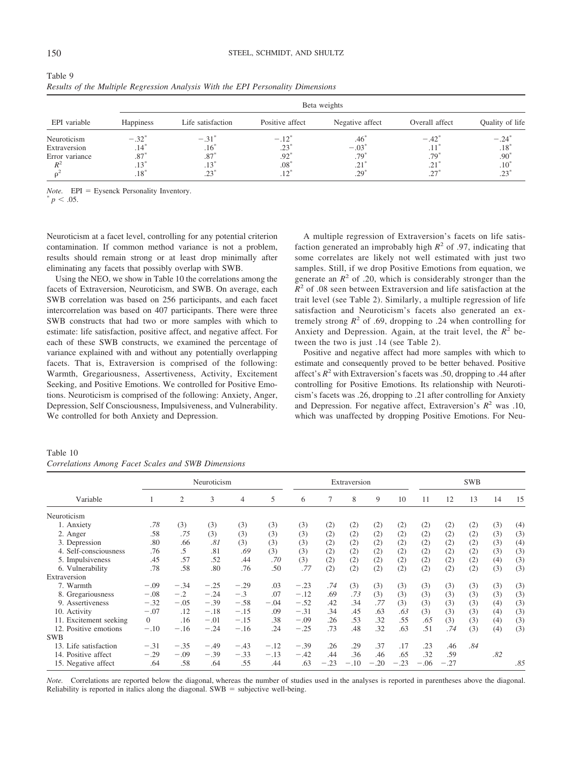|                                |                                | Beta weights      |                   |                  |                |                             |  |  |  |  |  |  |
|--------------------------------|--------------------------------|-------------------|-------------------|------------------|----------------|-----------------------------|--|--|--|--|--|--|
| EPI variable                   | Happiness                      | Life satisfaction | Positive affect   | Negative affect  | Overall affect | Quality of life             |  |  |  |  |  |  |
| Neuroticism                    | $-32$                          | $-.31$            | $-.12$            | .46              | $-.42$         | - 24                        |  |  |  |  |  |  |
| Extraversion<br>Error variance | .14 <sup>°</sup><br>.87<br>.13 | .16<br>.87        | .23<br>.92<br>.08 | $-.03$<br>.79    | .79            | .18<br>.90<br>$.10^{\circ}$ |  |  |  |  |  |  |
|                                | .18                            |                   |                   | $.29^{^{\circ}}$ |                | 23                          |  |  |  |  |  |  |

Table 9 *Results of the Multiple Regression Analysis With the EPI Personality Dimensions*

*Note.* EPI = Eysenck Personality Inventory.<br>  $p < .05$ .

Neuroticism at a facet level, controlling for any potential criterion contamination. If common method variance is not a problem, results should remain strong or at least drop minimally after eliminating any facets that possibly overlap with SWB.

Using the NEO, we show in Table 10 the correlations among the facets of Extraversion, Neuroticism, and SWB. On average, each SWB correlation was based on 256 participants, and each facet intercorrelation was based on 407 participants. There were three SWB constructs that had two or more samples with which to estimate: life satisfaction, positive affect, and negative affect. For each of these SWB constructs, we examined the percentage of variance explained with and without any potentially overlapping facets. That is, Extraversion is comprised of the following: Warmth, Gregariousness, Assertiveness, Activity, Excitement Seeking, and Positive Emotions. We controlled for Positive Emotions. Neuroticism is comprised of the following: Anxiety, Anger, Depression, Self Consciousness, Impulsiveness, and Vulnerability. We controlled for both Anxiety and Depression.

A multiple regression of Extraversion's facets on life satisfaction generated an improbably high  $R^2$  of .97, indicating that some correlates are likely not well estimated with just two samples. Still, if we drop Positive Emotions from equation, we generate an  $R^2$  of .20, which is considerably stronger than the  $R<sup>2</sup>$  of .08 seen between Extraversion and life satisfaction at the trait level (see Table 2). Similarly, a multiple regression of life satisfaction and Neuroticism's facets also generated an extremely strong  $R^2$  of .69, dropping to .24 when controlling for Anxiety and Depression. Again, at the trait level, the  $R^2$  between the two is just .14 (see Table 2).

Positive and negative affect had more samples with which to estimate and consequently proved to be better behaved. Positive affect's  $R^2$  with Extraversion's facets was .50, dropping to .44 after controlling for Positive Emotions. Its relationship with Neuroticism's facets was .26, dropping to .21 after controlling for Anxiety and Depression. For negative affect, Extraversion's  $R^2$  was .10, which was unaffected by dropping Positive Emotions. For Neu-

Table 10 *Correlations Among Facet Scales and SWB Dimensions*

| Variable               | Neuroticism |        |        |        |        | Extraversion |        |        |        |        | <b>SWB</b> |        |     |     |     |
|------------------------|-------------|--------|--------|--------|--------|--------------|--------|--------|--------|--------|------------|--------|-----|-----|-----|
|                        |             | 2      | 3      | 4      | 5      | 6            | 7      | 8      | 9      | 10     | 11         | 12     | 13  | 14  | 15  |
| Neuroticism            |             |        |        |        |        |              |        |        |        |        |            |        |     |     |     |
| 1. Anxiety             | .78         | (3)    | (3)    | (3)    | (3)    | (3)          | (2)    | (2)    | (2)    | (2)    | (2)        | (2)    | (2) | (3) | (4) |
| 2. Anger               | .58         | .75    | (3)    | (3)    | (3)    | (3)          | (2)    | (2)    | (2)    | (2)    | (2)        | (2)    | (2) | (3) | (3) |
| 3. Depression          | .80         | .66    | .81    | (3)    | (3)    | (3)          | (2)    | (2)    | (2)    | (2)    | (2)        | (2)    | (2) | (3) | (4) |
| 4. Self-consciousness  | .76         | .5     | .81    | .69    | (3)    | (3)          | (2)    | (2)    | (2)    | (2)    | (2)        | (2)    | (2) | (3) | (3) |
| 5. Impulsiveness       | .45         | .57    | .52    | .44    | .70    | (3)          | (2)    | (2)    | (2)    | (2)    | (2)        | (2)    | (2) | (4) | (3) |
| 6. Vulnerability       | .78         | .58    | .80    | .76    | .50    | .77          | (2)    | (2)    | (2)    | (2)    | (2)        | (2)    | (2) | (3) | (3) |
| Extraversion           |             |        |        |        |        |              |        |        |        |        |            |        |     |     |     |
| 7. Warmth              | $-.09$      | $-.34$ | $-.25$ | $-.29$ | .03    | $-.23$       | .74    | (3)    | (3)    | (3)    | (3)        | (3)    | (3) | (3) | (3) |
| 8. Gregariousness      | $-.08$      | $-.2$  | $-.24$ | $-.3$  | .07    | $-.12$       | .69    | .73    | (3)    | (3)    | (3)        | (3)    | (3) | (3) | (3) |
| 9. Assertiveness       | $-.32$      | $-.05$ | $-.39$ | $-.58$ | $-.04$ | $-.52$       | .42    | .34    | .77    | (3)    | (3)        | (3)    | (3) | (4) | (3) |
| 10. Activity           | $-.07$      | .12    | $-.18$ | $-.15$ | .09    | $-.31$       | .34    | .45    | .63    | .63    | (3)        | (3)    | (3) | (4) | (3) |
| 11. Excitement seeking | $\Omega$    | .16    | $-.01$ | $-.15$ | .38    | $-.09$       | .26    | .53    | .32    | .55    | .65        | (3)    | (3) | (4) | (3) |
| 12. Positive emotions  | $-.10$      | $-.16$ | $-.24$ | $-.16$ | .24    | $-.25$       | .73    | .48    | .32    | .63    | .51        | .74    | (3) | (4) | (3) |
| <b>SWB</b>             |             |        |        |        |        |              |        |        |        |        |            |        |     |     |     |
| 13. Life satisfaction  | $-.31$      | $-.35$ | $-.49$ | $-.43$ | $-.12$ | $-.39$       | .26    | .29    | .37    | .17    | .23        | .46    | .84 |     |     |
| 14. Positive affect    | $-.29$      | $-.09$ | $-.39$ | $-.33$ | $-.13$ | $-.42$       | .44    | .36    | .46    | .65    | .32        | .59    |     | .82 |     |
| 15. Negative affect    | .64         | .58    | .64    | .55    | .44    | .63          | $-.23$ | $-.10$ | $-.20$ | $-.23$ | $-.06$     | $-.27$ |     |     | .85 |

*Note.* Correlations are reported below the diagonal, whereas the number of studies used in the analyses is reported in parentheses above the diagonal. Reliability is reported in italics along the diagonal.  $SWB =$  subjective well-being.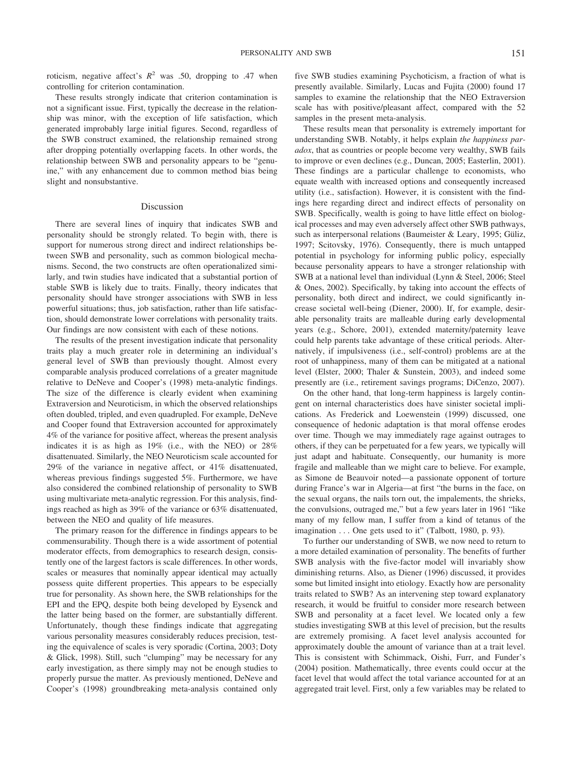roticism, negative affect's  $R^2$  was .50, dropping to .47 when controlling for criterion contamination.

These results strongly indicate that criterion contamination is not a significant issue. First, typically the decrease in the relationship was minor, with the exception of life satisfaction, which generated improbably large initial figures. Second, regardless of the SWB construct examined, the relationship remained strong after dropping potentially overlapping facets. In other words, the relationship between SWB and personality appears to be "genuine," with any enhancement due to common method bias being slight and nonsubstantive.

### Discussion

There are several lines of inquiry that indicates SWB and personality should be strongly related. To begin with, there is support for numerous strong direct and indirect relationships between SWB and personality, such as common biological mechanisms. Second, the two constructs are often operationalized similarly, and twin studies have indicated that a substantial portion of stable SWB is likely due to traits. Finally, theory indicates that personality should have stronger associations with SWB in less powerful situations; thus, job satisfaction, rather than life satisfaction, should demonstrate lower correlations with personality traits. Our findings are now consistent with each of these notions.

The results of the present investigation indicate that personality traits play a much greater role in determining an individual's general level of SWB than previously thought. Almost every comparable analysis produced correlations of a greater magnitude relative to DeNeve and Cooper's (1998) meta-analytic findings. The size of the difference is clearly evident when examining Extraversion and Neuroticism, in which the observed relationships often doubled, tripled, and even quadrupled. For example, DeNeve and Cooper found that Extraversion accounted for approximately 4% of the variance for positive affect, whereas the present analysis indicates it is as high as 19% (i.e., with the NEO) or 28% disattenuated. Similarly, the NEO Neuroticism scale accounted for 29% of the variance in negative affect, or 41% disattenuated, whereas previous findings suggested 5%. Furthermore, we have also considered the combined relationship of personality to SWB using multivariate meta-analytic regression. For this analysis, findings reached as high as 39% of the variance or 63% disattenuated, between the NEO and quality of life measures.

The primary reason for the difference in findings appears to be commensurability. Though there is a wide assortment of potential moderator effects, from demographics to research design, consistently one of the largest factors is scale differences. In other words, scales or measures that nominally appear identical may actually possess quite different properties. This appears to be especially true for personality. As shown here, the SWB relationships for the EPI and the EPQ, despite both being developed by Eysenck and the latter being based on the former, are substantially different. Unfortunately, though these findings indicate that aggregating various personality measures considerably reduces precision, testing the equivalence of scales is very sporadic (Cortina, 2003; Doty & Glick, 1998). Still, such "clumping" may be necessary for any early investigation, as there simply may not be enough studies to properly pursue the matter. As previously mentioned, DeNeve and Cooper's (1998) groundbreaking meta-analysis contained only five SWB studies examining Psychoticism, a fraction of what is presently available. Similarly, Lucas and Fujita (2000) found 17 samples to examine the relationship that the NEO Extraversion scale has with positive/pleasant affect, compared with the 52 samples in the present meta-analysis.

These results mean that personality is extremely important for understanding SWB. Notably, it helps explain *the happiness paradox*, that as countries or people become very wealthy, SWB fails to improve or even declines (e.g., Duncan, 2005; Easterlin, 2001). These findings are a particular challenge to economists, who equate wealth with increased options and consequently increased utility (i.e., satisfaction). However, it is consistent with the findings here regarding direct and indirect effects of personality on SWB. Specifically, wealth is going to have little effect on biological processes and may even adversely affect other SWB pathways, such as interpersonal relations (Baumeister & Leary, 1995; Güliz, 1997; Scitovsky, 1976). Consequently, there is much untapped potential in psychology for informing public policy, especially because personality appears to have a stronger relationship with SWB at a national level than individual (Lynn & Steel, 2006; Steel & Ones, 2002). Specifically, by taking into account the effects of personality, both direct and indirect, we could significantly increase societal well-being (Diener, 2000). If, for example, desirable personality traits are malleable during early developmental years (e.g., Schore, 2001), extended maternity/paternity leave could help parents take advantage of these critical periods. Alternatively, if impulsiveness (i.e., self-control) problems are at the root of unhappiness, many of them can be mitigated at a national level (Elster, 2000; Thaler & Sunstein, 2003), and indeed some presently are (i.e., retirement savings programs; DiCenzo, 2007).

On the other hand, that long-term happiness is largely contingent on internal characteristics does have sinister societal implications. As Frederick and Loewenstein (1999) discussed, one consequence of hedonic adaptation is that moral offense erodes over time. Though we may immediately rage against outrages to others, if they can be perpetuated for a few years, we typically will just adapt and habituate. Consequently, our humanity is more fragile and malleable than we might care to believe. For example, as Simone de Beauvoir noted—a passionate opponent of torture during France's war in Algeria—at first "the burns in the face, on the sexual organs, the nails torn out, the impalements, the shrieks, the convulsions, outraged me," but a few years later in 1961 "like many of my fellow man, I suffer from a kind of tetanus of the imagination . . . One gets used to it" (Talbott, 1980, p. 93).

To further our understanding of SWB, we now need to return to a more detailed examination of personality. The benefits of further SWB analysis with the five-factor model will invariably show diminishing returns. Also, as Diener (1996) discussed, it provides some but limited insight into etiology. Exactly how are personality traits related to SWB? As an intervening step toward explanatory research, it would be fruitful to consider more research between SWB and personality at a facet level. We located only a few studies investigating SWB at this level of precision, but the results are extremely promising. A facet level analysis accounted for approximately double the amount of variance than at a trait level. This is consistent with Schimmack, Oishi, Furr, and Funder's (2004) position. Mathematically, three events could occur at the facet level that would affect the total variance accounted for at an aggregated trait level. First, only a few variables may be related to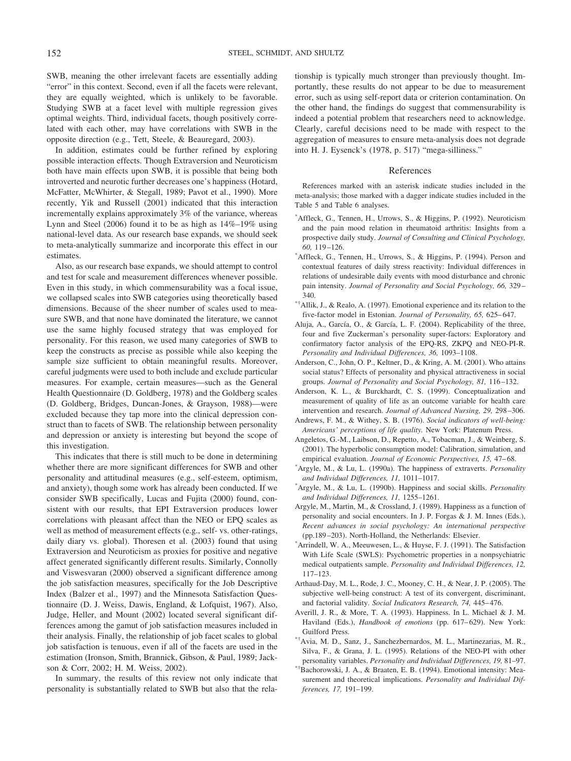SWB, meaning the other irrelevant facets are essentially adding "error" in this context. Second, even if all the facets were relevant, they are equally weighted, which is unlikely to be favorable. Studying SWB at a facet level with multiple regression gives optimal weights. Third, individual facets, though positively correlated with each other, may have correlations with SWB in the opposite direction (e.g., Tett, Steele, & Beauregard, 2003).

In addition, estimates could be further refined by exploring possible interaction effects. Though Extraversion and Neuroticism both have main effects upon SWB, it is possible that being both introverted and neurotic further decreases one's happiness (Hotard, McFatter, McWhirter, & Stegall, 1989; Pavot et al., 1990). More recently, Yik and Russell (2001) indicated that this interaction incrementally explains approximately 3% of the variance, whereas Lynn and Steel (2006) found it to be as high as 14%–19% using national-level data. As our research base expands, we should seek to meta-analytically summarize and incorporate this effect in our estimates.

Also, as our research base expands, we should attempt to control and test for scale and measurement differences whenever possible. Even in this study, in which commensurability was a focal issue, we collapsed scales into SWB categories using theoretically based dimensions. Because of the sheer number of scales used to measure SWB, and that none have dominated the literature, we cannot use the same highly focused strategy that was employed for personality. For this reason, we used many categories of SWB to keep the constructs as precise as possible while also keeping the sample size sufficient to obtain meaningful results. Moreover, careful judgments were used to both include and exclude particular measures. For example, certain measures—such as the General Health Questionnaire (D. Goldberg, 1978) and the Goldberg scales (D. Goldberg, Bridges, Duncan-Jones, & Grayson, 1988)—were excluded because they tap more into the clinical depression construct than to facets of SWB. The relationship between personality and depression or anxiety is interesting but beyond the scope of this investigation.

This indicates that there is still much to be done in determining whether there are more significant differences for SWB and other personality and attitudinal measures (e.g., self-esteem, optimism, and anxiety), though some work has already been conducted. If we consider SWB specifically, Lucas and Fujita (2000) found, consistent with our results, that EPI Extraversion produces lower correlations with pleasant affect than the NEO or EPQ scales as well as method of measurement effects (e.g., self- vs. other-ratings, daily diary vs. global). Thoresen et al. (2003) found that using Extraversion and Neuroticism as proxies for positive and negative affect generated significantly different results. Similarly, Connolly and Viswesvaran (2000) observed a significant difference among the job satisfaction measures, specifically for the Job Descriptive Index (Balzer et al., 1997) and the Minnesota Satisfaction Questionnaire (D. J. Weiss, Dawis, England, & Lofquist, 1967). Also, Judge, Heller, and Mount (2002) located several significant differences among the gamut of job satisfaction measures included in their analysis. Finally, the relationship of job facet scales to global job satisfaction is tenuous, even if all of the facets are used in the estimation (Ironson, Smith, Brannick, Gibson, & Paul, 1989; Jackson & Corr, 2002; H. M. Weiss, 2002).

In summary, the results of this review not only indicate that personality is substantially related to SWB but also that the relationship is typically much stronger than previously thought. Importantly, these results do not appear to be due to measurement error, such as using self-report data or criterion contamination. On the other hand, the findings do suggest that commensurability is indeed a potential problem that researchers need to acknowledge. Clearly, careful decisions need to be made with respect to the aggregation of measures to ensure meta-analysis does not degrade into H. J. Eysenck's (1978, p. 517) "mega-silliness."

#### References

References marked with an asterisk indicate studies included in the meta-analysis; those marked with a dagger indicate studies included in the Table 5 and Table 6 analyses.

- \* Affleck, G., Tennen, H., Urrows, S., & Higgins, P. (1992). Neuroticism and the pain mood relation in rheumatoid arthritis: Insights from a prospective daily study. *Journal of Consulting and Clinical Psychology, 60,* 119–126.
- \* Affleck, G., Tennen, H., Urrows, S., & Higgins, P. (1994). Person and contextual features of daily stress reactivity: Individual differences in relations of undesirable daily events with mood disturbance and chronic pain intensity. *Journal of Personality and Social Psychology, 66,* 329– 340.
- \*†Allik, J., & Realo, A. (1997). Emotional experience and its relation to the five-factor model in Estonian. *Journal of Personality, 65,* 625–647.
- Aluja, A., García, O., & García, L. F. (2004). Replicability of the three, four and five Zuckerman's personality super-factors: Exploratory and confirmatory factor analysis of the EPQ-RS, ZKPQ and NEO-PI-R. *Personality and Individual Differences, 36,* 1093–1108.
- Anderson, C., John, O. P., Keltner, D., & Kring, A. M. (2001). Who attains social status? Effects of personality and physical attractiveness in social groups. *Journal of Personality and Social Psychology, 81,* 116–132.
- Anderson, K. L., & Burckhardt, C. S. (1999). Conceptualization and measurement of quality of life as an outcome variable for health care intervention and research. *Journal of Advanced Nursing, 29,* 298–306.
- Andrews, F. M., & Withey, S. B. (1976). *Social indicators of well-being: Americans' perceptions of life quality.* New York: Platenum Press.
- Angeletos, G.-M., Laibson, D., Repetto, A., Tobacman, J., & Weinberg, S. (2001). The hyperbolic consumption model: Calibration, simulation, and empirical evaluation. *Journal of Economic Perspectives, 15,* 47–68.
- \* Argyle, M., & Lu, L. (1990a). The happiness of extraverts. *Personality and Individual Differences, 11,* 1011–1017.
- \* Argyle, M., & Lu, L. (1990b). Happiness and social skills. *Personality and Individual Differences, 11,* 1255–1261.
- Argyle, M., Martin, M., & Crossland, J. (1989). Happiness as a function of personality and social encounters. In J. P. Forgas & J. M. Innes (Eds.), *Recent advances in social psychology: An international perspective* (pp.189–203). North-Holland, the Netherlands: Elsevier.
- \* Arrindell, W. A., Meeuwesen, L., & Huyse, F. J. (1991). The Satisfaction With Life Scale (SWLS): Psychometric properties in a nonpsychiatric medical outpatients sample. *Personality and Individual Differences, 12,* 117–123.
- Arthaud-Day, M. L., Rode, J. C., Mooney, C. H., & Near, J. P. (2005). The subjective well-being construct: A test of its convergent, discriminant, and factorial validity. *Social Indicators Research, 74,* 445–476.
- Averill, J. R., & More, T. A. (1993). Happiness. In L. Michael & J. M. Haviland (Eds.), *Handbook of emotions* (pp. 617–629). New York: Guilford Press.
- \*†Avia, M. D., Sanz, J., Sanchezbernardos, M. L., Martinezarias, M. R., Silva, F., & Grana, J. L. (1995). Relations of the NEO-PI with other personality variables. *Personality and Individual Differences, 19,* 81–97.
- \*†Bachorowski, J. A., & Braaten, E. B. (1994). Emotional intensity: Measurement and theoretical implications. *Personality and Individual Differences, 17,* 191–199.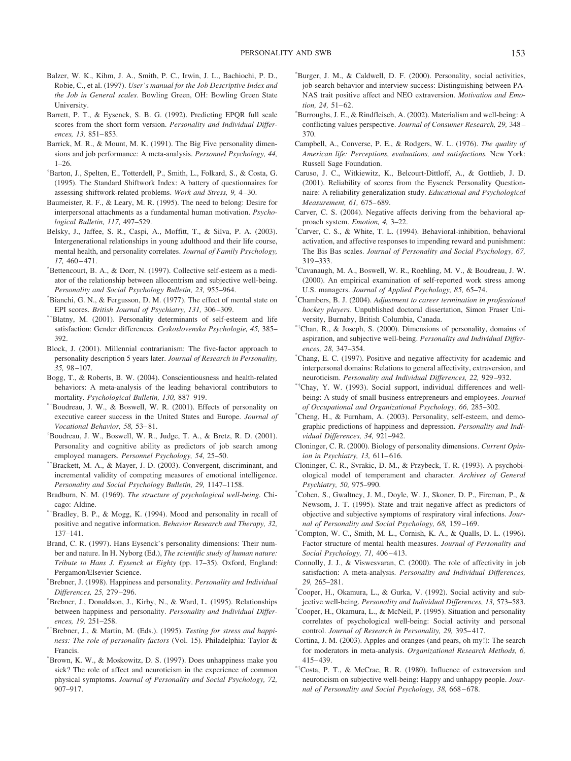- Balzer, W. K., Kihm, J. A., Smith, P. C., Irwin, J. L., Bachiochi, P. D., Robie, C., et al. (1997). *User's manual for the Job Descriptive Index and the Job in General scales*. Bowling Green, OH: Bowling Green State University.
- Barrett, P. T., & Eysenck, S. B. G. (1992). Predicting EPQR full scale scores from the short form version. *Personality and Individual Differences, 13,* 851–853.
- Barrick, M. R., & Mount, M. K. (1991). The Big Five personality dimensions and job performance: A meta-analysis. *Personnel Psychology, 44,*  $1-26$
- † Barton, J., Spelten, E., Totterdell, P., Smith, L., Folkard, S., & Costa, G. (1995). The Standard Shiftwork Index: A battery of questionnaires for assessing shiftwork-related problems. *Work and Stress, 9,* 4–30.
- Baumeister, R. F., & Leary, M. R. (1995). The need to belong: Desire for interpersonal attachments as a fundamental human motivation. *Psychological Bulletin, 117,* 497–529.
- Belsky, J., Jaffee, S. R., Caspi, A., Moffitt, T., & Silva, P. A. (2003). Intergenerational relationships in young adulthood and their life course, mental health, and personality correlates. *Journal of Family Psychology, 17,* 460–471.
- \* Bettencourt, B. A., & Dorr, N. (1997). Collective self-esteem as a mediator of the relationship between allocentrism and subjective well-being. *Personality and Social Psychology Bulletin, 23,* 955–964.
- \* Bianchi, G. N., & Fergusson, D. M. (1977). The effect of mental state on EPI scores. *British Journal of Psychiatry, 131,* 306–309.
- \*†Blatny, M. (2001). Personality determinants of self-esteem and life satisfaction: Gender differences. *Ceskoslovenska Psychologie, 45,* 385– 392.
- Block, J. (2001). Millennial contrarianism: The five-factor approach to personality description 5 years later. *Journal of Research in Personality, 35,* 98–107.
- Bogg, T., & Roberts, B. W. (2004). Conscientiousness and health-related behaviors: A meta-analysis of the leading behavioral contributors to mortality. *Psychological Bulletin, 130,* 887–919.
- \*†Boudreau, J. W., & Boswell, W. R. (2001). Effects of personality on executive career success in the United States and Europe. *Journal of Vocational Behavior, 58,* 53–81.
- † Boudreau, J. W., Boswell, W. R., Judge, T. A., & Bretz, R. D. (2001). Personality and cognitive ability as predictors of job search among employed managers. *Personnel Psychology, 54,* 25–50.
- \*†Brackett, M. A., & Mayer, J. D. (2003). Convergent, discriminant, and incremental validity of competing measures of emotional intelligence. *Personality and Social Psychology Bulletin, 29,* 1147–1158.
- Bradburn, N. M. (1969). *The structure of psychological well-being.* Chicago: Aldine.
- \*†Bradley, B. P., & Mogg, K. (1994). Mood and personality in recall of positive and negative information. *Behavior Research and Therapy, 32,* 137–141.
- Brand, C. R. (1997). Hans Eysenck's personality dimensions: Their number and nature. In H. Nyborg (Ed.), *The scientific study of human nature: Tribute to Hans J. Eysenck at Eighty* (pp. 17–35). Oxford, England: Pergamon/Elsevier Science.
- \* Brebner, J. (1998). Happiness and personality. *Personality and Individual Differences, 25,* 279–296.
- \* Brebner, J., Donaldson, J., Kirby, N., & Ward, L. (1995). Relationships between happiness and personality. *Personality and Individual Differences, 19,* 251–258.
- \*†Brebner, J., & Martin, M. (Eds.). (1995). *Testing for stress and happiness: The role of personality factors* (Vol. 15). Philadelphia: Taylor & Francis.
- \* Brown, K. W., & Moskowitz, D. S. (1997). Does unhappiness make you sick? The role of affect and neuroticism in the experience of common physical symptoms. *Journal of Personality and Social Psychology, 72,* 907–917.
- \* Burger, J. M., & Caldwell, D. F. (2000). Personality, social activities, job-search behavior and interview success: Distinguishing between PA-NAS trait positive affect and NEO extraversion. *Motivation and Emotion, 24,* 51–62.
- \* Burroughs, J. E., & Rindfleisch, A. (2002). Materialism and well-being: A conflicting values perspective. *Journal of Consumer Research, 29,* 348– 370.
- Campbell, A., Converse, P. E., & Rodgers, W. L. (1976). *The quality of American life: Perceptions, evaluations, and satisfactions.* New York: Russell Sage Foundation.
- Caruso, J. C., Witkiewitz, K., Belcourt-Dittloff, A., & Gottlieb, J. D. (2001). Reliability of scores from the Eysenck Personality Questionnaire: A reliability generalization study. *Educational and Psychological Measurement, 61,* 675–689.
- Carver, C. S. (2004). Negative affects deriving from the behavioral approach system. *Emotion, 4,* 3–22.
- \* Carver, C. S., & White, T. L. (1994). Behavioral-inhibition, behavioral activation, and affective responses to impending reward and punishment: The Bis Bas scales. *Journal of Personality and Social Psychology, 67,* 319–333.
- † Cavanaugh, M. A., Boswell, W. R., Roehling, M. V., & Boudreau, J. W. (2000). An empirical examination of self-reported work stress among U.S. managers. *Journal of Applied Psychology, 85,* 65–74.
- \* Chambers, B. J. (2004). *Adjustment to career termination in professional hockey players.* Unpublished doctoral dissertation, Simon Fraser University, Burnaby, British Columbia, Canada.
- \*†Chan, R., & Joseph, S. (2000). Dimensions of personality, domains of aspiration, and subjective well-being. *Personality and Individual Differences, 28,* 347–354.
- \* Chang, E. C. (1997). Positive and negative affectivity for academic and interpersonal domains: Relations to general affectivity, extraversion, and neuroticism. *Personality and Individual Differences, 22,* 929–932.
- \*†Chay, Y. W. (1993). Social support, individual differences and wellbeing: A study of small business entrepreneurs and employees. *Journal of Occupational and Organizational Psychology, 66,* 285–302.
- \* Cheng, H., & Furnham, A. (2003). Personality, self-esteem, and demographic predictions of happiness and depression. *Personality and Individual Differences, 34,* 921–942.
- Cloninger, C. R. (2000). Biology of personality dimensions. *Current Opinion in Psychiatry, 13,* 611–616.
- Cloninger, C. R., Svrakic, D. M., & Przybeck, T. R. (1993). A psychobiological model of temperament and character. *Archives of General Psychiatry, 50,* 975–990.
- \* Cohen, S., Gwaltney, J. M., Doyle, W. J., Skoner, D. P., Fireman, P., & Newsom, J. T. (1995). State and trait negative affect as predictors of objective and subjective symptoms of respiratory viral infections. *Journal of Personality and Social Psychology, 68,* 159–169.
- \* Compton, W. C., Smith, M. L., Cornish, K. A., & Qualls, D. L. (1996). Factor structure of mental health measures. *Journal of Personality and Social Psychology, 71,* 406–413.
- Connolly, J. J., & Viswesvaran, C. (2000). The role of affectivity in job satisfaction: A meta-analysis. *Personality and Individual Differences, 29,* 265–281.
- \* Cooper, H., Okamura, L., & Gurka, V. (1992). Social activity and subjective well-being. *Personality and Individual Differences, 13,* 573–583.
- \* Cooper, H., Okamura, L., & McNeil, P. (1995). Situation and personality correlates of psychological well-being: Social activity and personal control. *Journal of Research in Personality, 29,* 395–417.
- Cortina, J. M. (2003). Apples and oranges (and pears, oh my!): The search for moderators in meta-analysis. *Organizational Research Methods, 6,* 415–439.
- \*†Costa, P. T., & McCrae, R. R. (1980). Influence of extraversion and neuroticism on subjective well-being: Happy and unhappy people. *Journal of Personality and Social Psychology, 38,* 668–678.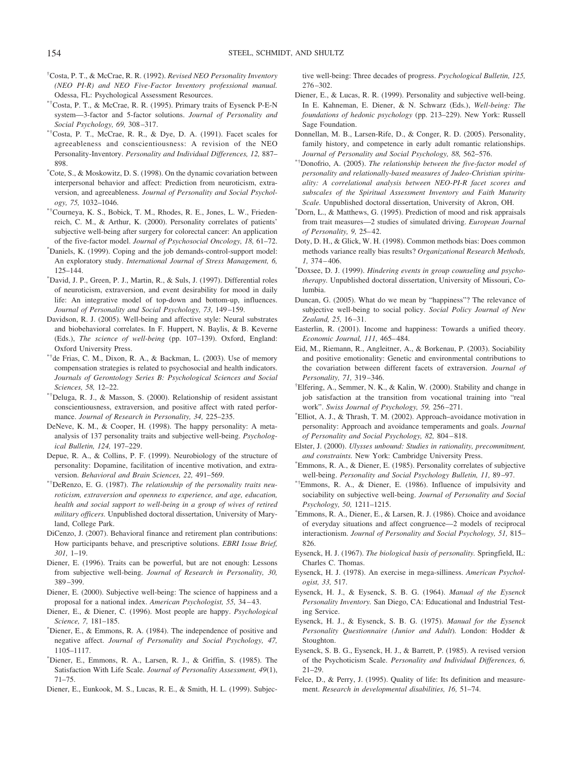- † Costa, P. T., & McCrae, R. R. (1992). *Revised NEO Personality Inventory (NEO PI-R) and NEO Five-Factor Inventory professional manual.* Odessa, FL: Psychological Assessment Resources.
- \*†Costa, P. T., & McCrae, R. R. (1995). Primary traits of Eysenck P-E-N system—3-factor and 5-factor solutions. *Journal of Personality and Social Psychology, 69,* 308–317.
- $*$ <sup>†</sup>Costa, P. T., McCrae, R. R., & Dye, D. A. (1991). Facet scales for agreeableness and conscientiousness: A revision of the NEO Personality-Inventory. *Personality and Individual Differences, 12,* 887– 898.
- \* Cote, S., & Moskowitz, D. S. (1998). On the dynamic covariation between interpersonal behavior and affect: Prediction from neuroticism, extraversion, and agreeableness. *Journal of Personality and Social Psychology, 75,* 1032–1046.
- \*†Courneya, K. S., Bobick, T. M., Rhodes, R. E., Jones, L. W., Friedenreich, C. M., & Arthur, K. (2000). Personality correlates of patients' subjective well-being after surgery for colorectal cancer: An application of the five-factor model. *Journal of Psychosocial Oncology, 18,* 61–72.
- \* Daniels, K. (1999). Coping and the job demands-control-support model: An exploratory study. *International Journal of Stress Management, 6,* 125–144.
- \* David, J. P., Green, P. J., Martin, R., & Suls, J. (1997). Differential roles of neuroticism, extraversion, and event desirability for mood in daily life: An integrative model of top-down and bottom-up, influences. *Journal of Personality and Social Psychology, 73,* 149–159.
- Davidson, R. J. (2005). Well-being and affective style: Neural substrates and biobehavioral correlates. In F. Huppert, N. Baylis, & B. Keverne (Eds.), *The science of well-being* (pp. 107–139). Oxford, England: Oxford University Press.
- \*†de Frias, C. M., Dixon, R. A., & Backman, L. (2003). Use of memory compensation strategies is related to psychosocial and health indicators. *Journals of Gerontology Series B: Psychological Sciences and Social Sciences, 58,* 12–22.
- \*†Deluga, R. J., & Masson, S. (2000). Relationship of resident assistant conscientiousness, extraversion, and positive affect with rated performance. *Journal of Research in Personality, 34,* 225–235.
- DeNeve, K. M., & Cooper, H. (1998). The happy personality: A metaanalysis of 137 personality traits and subjective well-being. *Psychological Bulletin, 124,* 197–229.
- Depue, R. A., & Collins, P. F. (1999). Neurobiology of the structure of personality: Dopamine, facilitation of incentive motivation, and extraversion. *Behavioral and Brain Sciences, 22,* 491–569.
- \*†DeRenzo, E. G. (1987). *The relationship of the personality traits neuroticism, extraversion and openness to experience, and age, education, health and social support to well-being in a group of wives of retired military officers.* Unpublished doctoral dissertation, University of Maryland, College Park.
- DiCenzo, J. (2007). Behavioral finance and retirement plan contributions: How participants behave, and prescriptive solutions. *EBRI Issue Brief, 301,* 1–19.
- Diener, E. (1996). Traits can be powerful, but are not enough: Lessons from subjective well-being. *Journal of Research in Personality, 30,* 389–399.
- Diener, E. (2000). Subjective well-being: The science of happiness and a proposal for a national index. *American Psychologist, 55,* 34–43.
- Diener, E., & Diener, C. (1996). Most people are happy. *Psychological Science, 7,* 181–185.
- \* Diener, E., & Emmons, R. A. (1984). The independence of positive and negative affect. *Journal of Personality and Social Psychology, 47,* 1105–1117.
- \* Diener, E., Emmons, R. A., Larsen, R. J., & Griffin, S. (1985). The Satisfaction With Life Scale. *Journal of Personality Assessment, 49*(1), 71–75.
- Diener, E., Eunkook, M. S., Lucas, R. E., & Smith, H. L. (1999). Subjec-

tive well-being: Three decades of progress. *Psychological Bulletin, 125,* 276–302.

- Diener, E., & Lucas, R. R. (1999). Personality and subjective well-being. In E. Kahneman, E. Diener, & N. Schwarz (Eds.), *Well-being: The foundations of hedonic psychology* (pp. 213–229). New York: Russell Sage Foundation.
- Donnellan, M. B., Larsen-Rife, D., & Conger, R. D. (2005). Personality, family history, and competence in early adult romantic relationships. *Journal of Personality and Social Psychology, 88,* 562–576.
- \*†Donofrio, A. (2005). *The relationship between the five-factor model of personality and relationally-based measures of Judeo-Christian spirituality: A correlational analysis between NEO-PI-R facet scores and subscales of the Spiritual Assessment Inventory and Faith Maturity Scale.* Unpublished doctoral dissertation, University of Akron, OH.
- \* Dorn, L., & Matthews, G. (1995). Prediction of mood and risk appraisals from trait measures—2 studies of simulated driving. *European Journal of Personality, 9,* 25–42.
- Doty, D. H., & Glick, W. H. (1998). Common methods bias: Does common methods variance really bias results? *Organizational Research Methods, 1,* 374–406.
- \* Doxsee, D. J. (1999). *Hindering events in group counseling and psychotherapy.* Unpublished doctoral dissertation, University of Missouri, Columbia.
- Duncan, G. (2005). What do we mean by "happiness"? The relevance of subjective well-being to social policy. *Social Policy Journal of New Zealand, 25,* 16–31.
- Easterlin, R. (2001). Income and happiness: Towards a unified theory. *Economic Journal, 111,* 465–484.
- Eid, M., Riemann, R., Angleitner, A., & Borkenau, P. (2003). Sociability and positive emotionality: Genetic and environmental contributions to the covariation between different facets of extraversion. *Journal of Personality, 71,* 319–346.
- † Elfering, A., Semmer, N. K., & Kalin, W. (2000). Stability and change in job satisfaction at the transition from vocational training into "real work". *Swiss Journal of Psychology, 59,* 256–271.
- \* Elliot, A. J., & Thrash, T. M. (2002). Approach–avoidance motivation in personality: Approach and avoidance temperaments and goals. *Journal of Personality and Social Psychology, 82,* 804–818.
- Elster, J. (2000). *Ulysses unbound: Studies in rationality, precommitment, and constraints.* New York: Cambridge University Press.
- \* Emmons, R. A., & Diener, E. (1985). Personality correlates of subjective well-being. *Personality and Social Psychology Bulletin, 11,* 89–97.
- \*†Emmons, R. A., & Diener, E. (1986). Influence of impulsivity and sociability on subjective well-being. *Journal of Personality and Social Psychology, 50,* 1211–1215.
- \* Emmons, R. A., Diener, E., & Larsen, R. J. (1986). Choice and avoidance of everyday situations and affect congruence—2 models of reciprocal interactionism. *Journal of Personality and Social Psychology, 51,* 815– 826.
- Eysenck, H. J. (1967). *The biological basis of personality.* Springfield, IL: Charles C. Thomas.
- Eysenck, H. J. (1978). An exercise in mega-silliness. *American Psychologist, 33,* 517.
- Eysenck, H. J., & Eysenck, S. B. G. (1964). *Manual of the Eysenck Personality Inventory.* San Diego, CA: Educational and Industrial Testing Service.
- Eysenck, H. J., & Eysenck, S. B. G. (1975). *Manual for the Eysenck Personality Questionnaire (Junior and Adult*)*.* London: Hodder & Stoughton.
- Eysenck, S. B. G., Eysenck, H. J., & Barrett, P. (1985). A revised version of the Psychoticism Scale. *Personality and Individual Differences, 6,* 21–29.
- Felce, D., & Perry, J. (1995). Quality of life: Its definition and measurement. *Research in developmental disabilities, 16,* 51–74.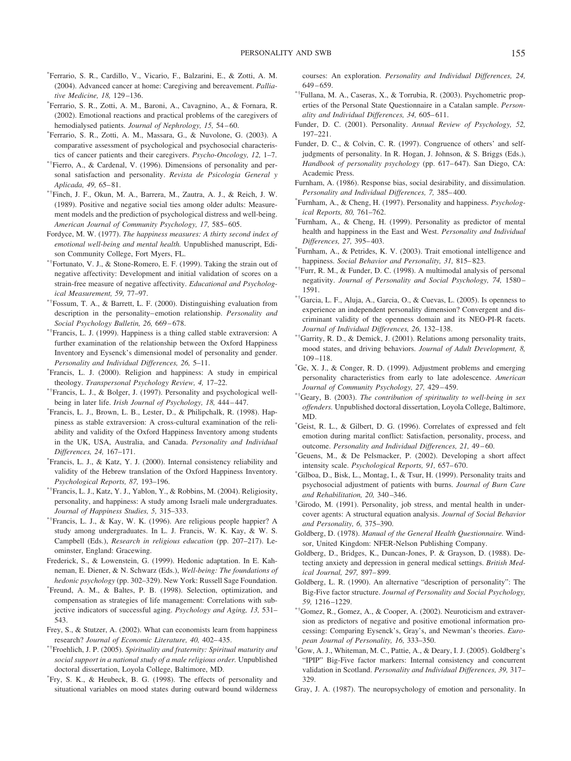- \* Ferrario, S. R., Cardillo, V., Vicario, F., Balzarini, E., & Zotti, A. M. (2004). Advanced cancer at home: Caregiving and bereavement. *Palliative Medicine, 18,* 129–136.
- \* Ferrario, S. R., Zotti, A. M., Baroni, A., Cavagnino, A., & Fornara, R. (2002). Emotional reactions and practical problems of the caregivers of hemodialysed patients. *Journal of Nephrology, 15,* 54–60.
- \* Ferrario, S. R., Zotti, A. M., Massara, G., & Nuvolone, G. (2003). A comparative assessment of psychological and psychosocial characteristics of cancer patients and their caregivers. *Psycho-Oncology, 12,* 1–7.
- \*†Fierro, A., & Cardenal, V. (1996). Dimensions of personality and personal satisfaction and personality. *Revista de Psicologia General y Aplicada, 49,* 65–81.
- \*†Finch, J. F., Okun, M. A., Barrera, M., Zautra, A. J., & Reich, J. W. (1989). Positive and negative social ties among older adults: Measurement models and the prediction of psychological distress and well-being. *American Journal of Community Psychology, 17,* 585–605.
- Fordyce, M. W. (1977). *The happiness measures: A thirty second index of emotional well-being and mental health.* Unpublished manuscript, Edison Community College, Fort Myers, FL.
- \*†Fortunato, V. J., & Stone-Romero, E. F. (1999). Taking the strain out of negative affectivity: Development and initial validation of scores on a strain-free measure of negative affectivity. *Educational and Psychological Measurement, 59,* 77–97.
- \*†Fossum, T. A., & Barrett, L. F. (2000). Distinguishing evaluation from description in the personality–emotion relationship. *Personality and Social Psychology Bulletin, 26,* 669–678.
- \*†Francis, L. J. (1999). Happiness is a thing called stable extraversion: A further examination of the relationship between the Oxford Happiness Inventory and Eysenck's dimensional model of personality and gender. *Personality and Individual Differences, 26,* 5–11.
- \* Francis, L. J. (2000). Religion and happiness: A study in empirical theology. *Transpersonal Psychology Review, 4,* 17–22.
- \*†Francis, L. J., & Bolger, J. (1997). Personality and psychological wellbeing in later life. *Irish Journal of Psychology, 18,* 444–447.
- \* Francis, L. J., Brown, L. B., Lester, D., & Philipchalk, R. (1998). Happiness as stable extraversion: A cross-cultural examination of the reliability and validity of the Oxford Happiness Inventory among students in the UK, USA, Australia, and Canada. *Personality and Individual Differences, 24,* 167–171.
- \* Francis, L. J., & Katz, Y. J. (2000). Internal consistency reliability and validity of the Hebrew translation of the Oxford Happiness Inventory. *Psychological Reports, 87,* 193–196.
- \*†Francis, L. J., Katz, Y. J., Yablon, Y., & Robbins, M. (2004). Religiosity, personality, and happiness: A study among Israeli male undergraduates. *Journal of Happiness Studies, 5,* 315–333.
- \*†Francis, L. J., & Kay, W. K. (1996). Are religious people happier? A study among undergraduates. In L. J. Francis, W. K. Kay, & W. S. Campbell (Eds.), *Research in religious education* (pp. 207–217). Leominster, England: Gracewing.
- Frederick, S., & Lowenstein, G. (1999). Hedonic adaptation. In E. Kahneman, E. Diener, & N. Schwarz (Eds.), *Well-being: The foundations of hedonic psychology* (pp. 302–329). New York: Russell Sage Foundation.
- \* Freund, A. M., & Baltes, P. B. (1998). Selection, optimization, and compensation as strategies of life management: Correlations with subjective indicators of successful aging. *Psychology and Aging, 13,* 531– 543.
- Frey, S., & Stutzer, A. (2002). What can economists learn from happiness research? *Journal of Economic Literature, 40,* 402–435.
- \*†Froehlich, J. P. (2005). *Spirituality and fraternity: Spiritual maturity and social support in a national study of a male religious order.* Unpublished doctoral dissertation, Loyola College, Baltimore, MD.
- \* Fry, S. K., & Heubeck, B. G. (1998). The effects of personality and situational variables on mood states during outward bound wilderness

courses: An exploration. *Personality and Individual Differences, 24,* 649–659.

- \*†Fullana, M. A., Caseras, X., & Torrubia, R. (2003). Psychometric properties of the Personal State Questionnaire in a Catalan sample. *Personality and Individual Differences, 34,* 605–611.
- Funder, D. C. (2001). Personality. *Annual Review of Psychology, 52,* 197–221.
- Funder, D. C., & Colvin, C. R. (1997). Congruence of others' and selfjudgments of personality. In R. Hogan, J. Johnson, & S. Briggs (Eds.), *Handbook of personality psychology* (pp. 617–647). San Diego, CA: Academic Press.
- Furnham, A. (1986). Response bias, social desirability, and dissimulation. *Personality and Individual Differences, 7,* 385–400.
- \* Furnham, A., & Cheng, H. (1997). Personality and happiness. *Psychological Reports, 80,* 761–762.
- \* Furnham, A., & Cheng, H. (1999). Personality as predictor of mental health and happiness in the East and West. *Personality and Individual Differences, 27,* 395–403.
- \* Furnham, A., & Petrides, K. V. (2003). Trait emotional intelligence and happiness. *Social Behavior and Personality, 31,* 815–823.
- \*†Furr, R. M., & Funder, D. C. (1998). A multimodal analysis of personal negativity. *Journal of Personality and Social Psychology, 74,* 1580– 1591.
- \*†Garcia, L. F., Aluja, A., Garcia, O., & Cuevas, L. (2005). Is openness to experience an independent personality dimension? Convergent and discriminant validity of the openness domain and its NEO-PI-R facets. *Journal of Individual Differences, 26,* 132–138.
- \*†Garrity, R. D., & Demick, J. (2001). Relations among personality traits, mood states, and driving behaviors. *Journal of Adult Development, 8,* 109–118.
- \* Ge, X. J., & Conger, R. D. (1999). Adjustment problems and emerging personality characteristics from early to late adolescence. *American Journal of Community Psychology, 27,* 429–459.
- \*†Geary, B. (2003). *The contribution of spirituality to well-being in sex offenders.* Unpublished doctoral dissertation, Loyola College, Baltimore, MD.
- \* Geist, R. L., & Gilbert, D. G. (1996). Correlates of expressed and felt emotion during marital conflict: Satisfaction, personality, process, and outcome. *Personality and Individual Differences, 21,* 49–60.
- \* Geuens, M., & De Pelsmacker, P. (2002). Developing a short affect intensity scale. *Psychological Reports, 91,* 657–670.
- \* Gilboa, D., Bisk, L., Montag, I., & Tsur, H. (1999). Personality traits and psychosocial adjustment of patients with burns. *Journal of Burn Care and Rehabilitation, 20,* 340–346.
- † Girodo, M. (1991). Personality, job stress, and mental health in undercover agents: A structural equation analysis. *Journal of Social Behavior and Personality, 6,* 375–390.
- Goldberg, D. (1978). *Manual of the General Health Questionnaire.* Windsor, United Kingdom: NFER-Nelson Publishing Company.
- Goldberg, D., Bridges, K., Duncan-Jones, P. & Grayson, D. (1988). Detecting anxiety and depression in general medical settings. *British Medical Journal, 297,* 897–899.
- Goldberg, L. R. (1990). An alternative "description of personality": The Big-Five factor structure. *Journal of Personality and Social Psychology, 59,* 1216–1229.
- \*†Gomez, R., Gomez, A., & Cooper, A. (2002). Neuroticism and extraversion as predictors of negative and positive emotional information processing: Comparing Eysenck's, Gray's, and Newman's theories. *European Journal of Personality, 16,* 333–350.
- † Gow, A. J., Whiteman, M. C., Pattie, A., & Deary, I. J. (2005). Goldberg's "IPIP" Big-Five factor markers: Internal consistency and concurrent validation in Scotland. *Personality and Individual Differences, 39,* 317– 329.
- Gray, J. A. (1987). The neuropsychology of emotion and personality. In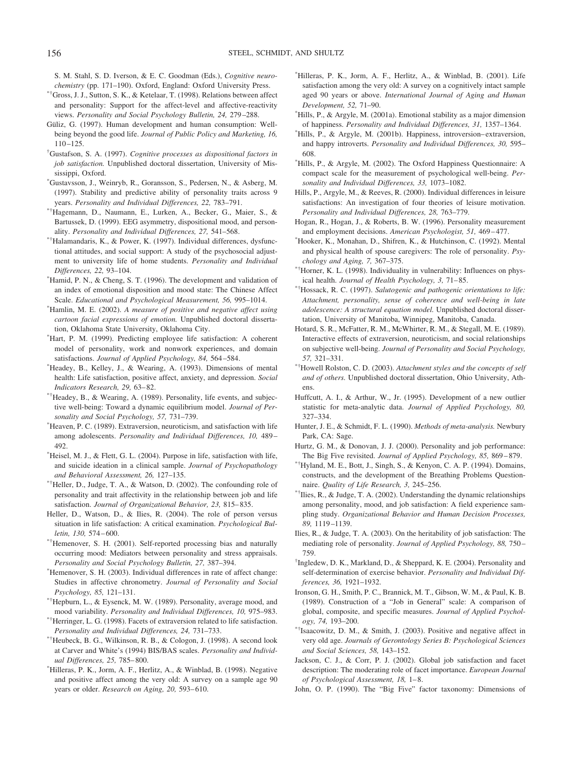S. M. Stahl, S. D. Iverson, & E. C. Goodman (Eds.), *Cognitive neurochemistry* (pp. 171–190). Oxford, England: Oxford University Press.

- \*†Gross, J. J., Sutton, S. K., & Ketelaar, T. (1998). Relations between affect and personality: Support for the affect-level and affective-reactivity views. *Personality and Social Psychology Bulletin, 24,* 279–288.
- Güliz, G. (1997). Human development and human consumption: Wellbeing beyond the good life. *Journal of Public Policy and Marketing, 16,* 110–125.
- † Gustafson, S. A. (1997). *Cognitive processes as dispositional factors in job satisfaction.* Unpublished doctoral dissertation, University of Mississippi, Oxford.
- \* Gustavsson, J., Weinryb, R., Goransson, S., Pedersen, N., & Asberg, M. (1997). Stability and predictive ability of personality traits across 9 years. *Personality and Individual Differences, 22,* 783–791.
- \*†Hagemann, D., Naumann, E., Lurken, A., Becker, G., Maier, S., & Bartussek, D. (1999). EEG asymmetry, dispositional mood, and personality. *Personality and Individual Differences, 27,* 541–568.
- \*†Halamandaris, K., & Power, K. (1997). Individual differences, dysfunctional attitudes, and social support: A study of the psychosocial adjustment to university life of home students. *Personality and Individual Differences, 22,* 93–104.
- \* Hamid, P. N., & Cheng, S. T. (1996). The development and validation of an index of emotional disposition and mood state: The Chinese Affect Scale. *Educational and Psychological Measurement, 56,* 995–1014.
- \* Hamlin, M. E. (2002). *A measure of positive and negative affect using cartoon facial expressions of emotion.* Unpublished doctoral dissertation, Oklahoma State University, Oklahoma City.
- \* Hart, P. M. (1999). Predicting employee life satisfaction: A coherent model of personality, work and nonwork experiences, and domain satisfactions. *Journal of Applied Psychology, 84,* 564–584.
- \* Headey, B., Kelley, J., & Wearing, A. (1993). Dimensions of mental health: Life satisfaction, positive affect, anxiety, and depression. *Social Indicators Research, 29,* 63–82.
- \*†Headey, B., & Wearing, A. (1989). Personality, life events, and subjective well-being: Toward a dynamic equilibrium model. *Journal of Personality and Social Psychology, 57,* 731–739.
- \* Heaven, P. C. (1989). Extraversion, neuroticism, and satisfaction with life among adolescents. *Personality and Individual Differences, 10,* 489– 492.
- \* Heisel, M. J., & Flett, G. L. (2004). Purpose in life, satisfaction with life, and suicide ideation in a clinical sample. *Journal of Psychopathology and Behavioral Assessment, 26,* 127–135.
- \*†Heller, D., Judge, T. A., & Watson, D. (2002). The confounding role of personality and trait affectivity in the relationship between job and life satisfaction. *Journal of Organizational Behavior, 23,* 815–835.
- Heller, D., Watson, D., & Ilies, R. (2004). The role of person versus situation in life satisfaction: A critical examination. *Psychological Bulletin, 130,* 574–600.
- \*†Hemenover, S. H. (2001). Self-reported processing bias and naturally occurring mood: Mediators between personality and stress appraisals. *Personality and Social Psychology Bulletin, 27,* 387–394.
- \* Hemenover, S. H. (2003). Individual differences in rate of affect change: Studies in affective chronometry. *Journal of Personality and Social Psychology, 85,* 121–131.
- \*†Hepburn, L., & Eysenck, M. W. (1989). Personality, average mood, and mood variability. *Personality and Individual Differences, 10,* 975–983.
- \*†Herringer, L. G. (1998). Facets of extraversion related to life satisfaction. *Personality and Individual Differences, 24,* 731–733.
- \*†Heubeck, B. G., Wilkinson, R. B., & Cologon, J. (1998). A second look at Carver and White's (1994) BIS/BAS scales. *Personality and Individual Differences, 25,* 785–800.
- \* Hilleras, P. K., Jorm, A. F., Herlitz, A., & Winblad, B. (1998). Negative and positive affect among the very old: A survey on a sample age 90 years or older. *Research on Aging, 20,* 593–610.
- \* Hilleras, P. K., Jorm, A. F., Herlitz, A., & Winblad, B. (2001). Life satisfaction among the very old: A survey on a cognitively intact sample aged 90 years or above. *International Journal of Aging and Human Development, 52,* 71–90.
- \* Hills, P., & Argyle, M. (2001a). Emotional stability as a major dimension of happiness. *Personality and Individual Differences, 31,* 1357–1364.
- \* Hills, P., & Argyle, M. (2001b). Happiness, introversion–extraversion, and happy introverts. *Personality and Individual Differences, 30,* 595– 608.
- \* Hills, P., & Argyle, M. (2002). The Oxford Happiness Questionnaire: A compact scale for the measurement of psychological well-being. *Personality and Individual Differences, 33,* 1073–1082.
- Hills, P., Argyle, M., & Reeves, R. (2000). Individual differences in leisure satisfactions: An investigation of four theories of leisure motivation. *Personality and Individual Differences, 28,* 763–779.
- Hogan, R., Hogan, J., & Roberts, B. W. (1996). Personality measurement and employment decisions. *American Psychologist, 51,* 469–477.
- \* Hooker, K., Monahan, D., Shifren, K., & Hutchinson, C. (1992). Mental and physical health of spouse caregivers: The role of personality. *Psychology and Aging, 7,* 367–375.
- \*†Horner, K. L. (1998). Individuality in vulnerability: Influences on physical health. *Journal of Health Psychology, 3,* 71–85.
- \*†Hossack, R. C. (1997). *Salutogenic and pathogenic orientations to life: Attachment, personality, sense of coherence and well-being in late adolescence: A structural equation model.* Unpublished doctoral dissertation, University of Manitoba, Winnipeg, Manitoba, Canada.
- Hotard, S. R., McFatter, R. M., McWhirter, R. M., & Stegall, M. E. (1989). Interactive effects of extraversion, neuroticism, and social relationships on subjective well-being. *Journal of Personality and Social Psychology, 57,* 321–331.
- \*†Howell Rolston, C. D. (2003). *Attachment styles and the concepts of self and of others.* Unpublished doctoral dissertation, Ohio University, Athens.
- Huffcutt, A. I., & Arthur, W., Jr. (1995). Development of a new outlier statistic for meta-analytic data. *Journal of Applied Psychology, 80,* 327–334.
- Hunter, J. E., & Schmidt, F. L. (1990). *Methods of meta-analysis.* Newbury Park, CA: Sage.
- Hurtz, G. M., & Donovan, J. J. (2000). Personality and job performance: The Big Five revisited. *Journal of Applied Psychology, 85,* 869–879.
- \*†Hyland, M. E., Bott, J., Singh, S., & Kenyon, C. A. P. (1994). Domains, constructs, and the development of the Breathing Problems Questionnaire. *Quality of Life Research, 3,* 245–256.
- \*†Ilies, R., & Judge, T. A. (2002). Understanding the dynamic relationships among personality, mood, and job satisfaction: A field experience sampling study. *Organizational Behavior and Human Decision Processes, 89,* 1119–1139.
- Ilies, R., & Judge, T. A. (2003). On the heritability of job satisfaction: The mediating role of personality. *Journal of Applied Psychology, 88,* 750– 759.
- † Ingledew, D. K., Markland, D., & Sheppard, K. E. (2004). Personality and self-determination of exercise behavior. *Personality and Individual Differences, 36,* 1921–1932.
- Ironson, G. H., Smith, P. C., Brannick, M. T., Gibson, W. M., & Paul, K. B. (1989). Construction of a "Job in General" scale: A comparison of global, composite, and specific measures. *Journal of Applied Psychology, 74,* 193–200.
- \*†Isaacowitz, D. M., & Smith, J. (2003). Positive and negative affect in very old age. *Journals of Gerontology Series B: Psychological Sciences and Social Sciences, 58,* 143–152.
- Jackson, C. J., & Corr, P. J. (2002). Global job satisfaction and facet description: The moderating role of facet importance. *European Journal of Psychological Assessment, 18,* 1–8.
- John, O. P. (1990). The "Big Five" factor taxonomy: Dimensions of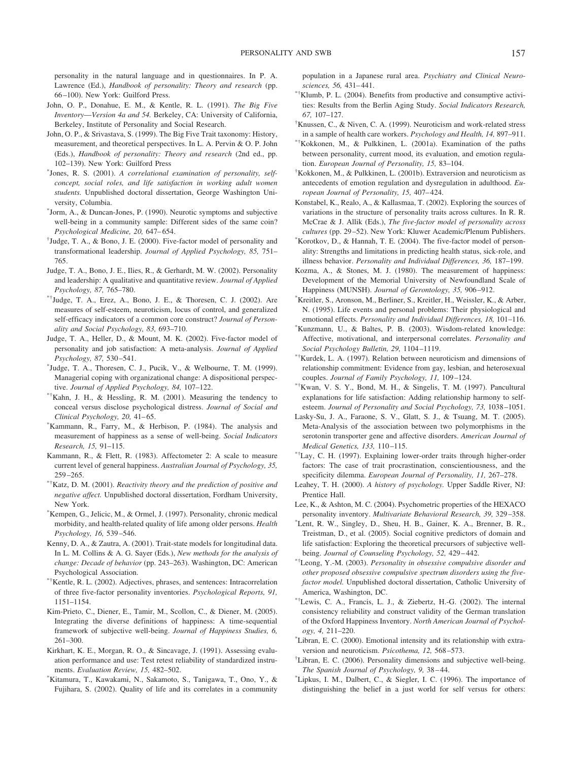personality in the natural language and in questionnaires. In P. A. Lawrence (Ed.), *Handbook of personality: Theory and research* (pp. 66–100). New York: Guilford Press.

- John, O. P., Donahue, E. M., & Kentle, R. L. (1991). *The Big Five Inventory*—*Version 4a and 54.* Berkeley, CA: University of California, Berkeley, Institute of Personality and Social Research.
- John, O. P., & Srivastava, S. (1999). The Big Five Trait taxonomy: History, measurement, and theoretical perspectives. In L. A. Pervin & O. P. John (Eds.), *Handbook of personality: Theory and research* (2nd ed., pp. 102–139). New York: Guilford Press
- \* Jones, R. S. (2001). *A correlational examination of personality, selfconcept, social roles, and life satisfaction in working adult women students.* Unpublished doctoral dissertation, George Washington University, Columbia.
- \* Jorm, A., & Duncan-Jones, P. (1990). Neurotic symptoms and subjective well-being in a community sample: Different sides of the same coin? *Psychological Medicine, 20,* 647–654.
- † Judge, T. A., & Bono, J. E. (2000). Five-factor model of personality and transformational leadership. *Journal of Applied Psychology, 85,* 751– 765.
- Judge, T. A., Bono, J. E., Ilies, R., & Gerhardt, M. W. (2002). Personality and leadership: A qualitative and quantitative review. *Journal of Applied Psychology, 87,* 765–780.
- \*†Judge, T. A., Erez, A., Bono, J. E., & Thoresen, C. J. (2002). Are measures of self-esteem, neuroticism, locus of control, and generalized self-efficacy indicators of a common core construct? *Journal of Personality and Social Psychology, 83,* 693–710.
- Judge, T. A., Heller, D., & Mount, M. K. (2002). Five-factor model of personality and job satisfaction: A meta-analysis. *Journal of Applied Psychology, 87,* 530–541.
- \* Judge, T. A., Thoresen, C. J., Pucik, V., & Welbourne, T. M. (1999). Managerial coping with organizational change: A dispositional perspective. *Journal of Applied Psychology, 84,* 107–122.
- \*†Kahn, J. H., & Hessling, R. M. (2001). Measuring the tendency to conceal versus disclose psychological distress. *Journal of Social and Clinical Psychology, 20,* 41–65.
- \* Kammann, R., Farry, M., & Herbison, P. (1984). The analysis and measurement of happiness as a sense of well-being. *Social Indicators Research, 15,* 91–115.
- Kammann, R., & Flett, R. (1983). Affectometer 2: A scale to measure current level of general happiness. *Australian Journal of Psychology, 35,* 259–265.
- \*†Katz, D. M. (2001). *Reactivity theory and the prediction of positive and negative affect.* Unpublished doctoral dissertation, Fordham University, New York.
- \* Kempen, G., Jelicic, M., & Ormel, J. (1997). Personality, chronic medical morbidity, and health-related quality of life among older persons. *Health Psychology, 16,* 539–546.
- Kenny, D. A., & Zautra, A. (2001). Trait-state models for longitudinal data. In L. M. Collins & A. G. Sayer (Eds.), *New methods for the analysis of change: Decade of behavior* (pp. 243–263). Washington, DC: American Psychological Association.
- \*†Kentle, R. L. (2002). Adjectives, phrases, and sentences: Intracorrelation of three five-factor personality inventories. *Psychological Reports, 91,* 1151–1154.
- Kim-Prieto, C., Diener, E., Tamir, M., Scollon, C., & Diener, M. (2005). Integrating the diverse definitions of happiness: A time-sequential framework of subjective well-being. *Journal of Happiness Studies, 6,* 261–300.
- Kirkhart, K. E., Morgan, R. O., & Sincavage, J. (1991). Assessing evaluation performance and use: Test retest reliability of standardized instruments. *Evaluation Review, 15,* 482–502.
- \* Kitamura, T., Kawakami, N., Sakamoto, S., Tanigawa, T., Ono, Y., & Fujihara, S. (2002). Quality of life and its correlates in a community

population in a Japanese rural area. *Psychiatry and Clinical Neurosciences, 56,* 431–441.

- \*†Klumb, P. L. (2004). Benefits from productive and consumptive activities: Results from the Berlin Aging Study. *Social Indicators Research, 67,* 107–127.
- † Knussen, C., & Niven, C. A. (1999). Neuroticism and work-related stress in a sample of health care workers. *Psychology and Health, 14,* 897–911.
- \*†Kokkonen, M., & Pulkkinen, L. (2001a). Examination of the paths between personality, current mood, its evaluation, and emotion regulation. *European Journal of Personality, 15,* 83–104.
- † Kokkonen, M., & Pulkkinen, L. (2001b). Extraversion and neuroticism as antecedents of emotion regulation and dysregulation in adulthood. *European Journal of Personality, 15,* 407–424.
- Konstabel, K., Realo, A., & Kallasmaa, T. (2002). Exploring the sources of variations in the structure of personality traits across cultures. In R. R. McCrae & J. Allik (Eds.), *The five-factor model of personality across cultures* (pp. 29–52). New York: Kluwer Academic/Plenum Publishers.
- \* Korotkov, D., & Hannah, T. E. (2004). The five-factor model of personality: Strengths and limitations in predicting health status, sick-role, and illness behavior. *Personality and Individual Differences, 36,* 187–199.
- Kozma, A., & Stones, M. J. (1980). The measurement of happiness: Development of the Memorial University of Newfoundland Scale of Happiness (MUNSH). *Journal of Gerontology, 35,* 906–912.
- \* Kreitler, S., Aronson, M., Berliner, S., Kreitler, H., Weissler, K., & Arber, N. (1995). Life events and personal problems: Their physiological and emotional effects. *Personality and Individual Differences, 18,* 101–116.
- \* Kunzmann, U., & Baltes, P. B. (2003). Wisdom-related knowledge: Affective, motivational, and interpersonal correlates. *Personality and Social Psychology Bulletin, 29,* 1104–1119.
- \*†Kurdek, L. A. (1997). Relation between neuroticism and dimensions of relationship commitment: Evidence from gay, lesbian, and heterosexual couples. *Journal of Family Psychology, 11,* 109–124.
- \*†Kwan, V. S. Y., Bond, M. H., & Singelis, T. M. (1997). Pancultural explanations for life satisfaction: Adding relationship harmony to selfesteem. *Journal of Personality and Social Psychology, 73,* 1038–1051.
- Lasky-Su, J. A., Faraone, S. V., Glatt, S. J., & Tsuang, M. T. (2005). Meta-Analysis of the association between two polymorphisms in the serotonin transporter gene and affective disorders. *American Journal of Medical Genetics, 133,* 110–115.
- \*†Lay, C. H. (1997). Explaining lower-order traits through higher-order factors: The case of trait procrastination, conscientiousness, and the specificity dilemma. *European Journal of Personality, 11,* 267–278.
- Leahey, T. H. (2000). *A history of psychology.* Upper Saddle River, NJ: Prentice Hall.
- Lee, K., & Ashton, M. C. (2004). Psychometric properties of the HEXACO personality inventory. *Multivariate Behavioral Research, 39,* 329–358.
- \* Lent, R. W., Singley, D., Sheu, H. B., Gainer, K. A., Brenner, B. R., Treistman, D., et al. (2005). Social cognitive predictors of domain and life satisfaction: Exploring the theoretical precursors of subjective wellbeing. *Journal of Counseling Psychology, 52,* 429–442.
- \*†Leong, Y.-M. (2003). *Personality in obsessive compulsive disorder and other proposed obsessive compulsive spectrum disorders using the fivefactor model.* Unpublished doctoral dissertation, Catholic University of America, Washington, DC.
- \*†Lewis, C. A., Francis, L. J., & Ziebertz, H.-G. (2002). The internal consistency reliability and construct validity of the German translation of the Oxford Happiness Inventory. *North American Journal of Psychology, 4,* 211–220.
- \* Libran, E. C. (2000). Emotional intensity and its relationship with extraversion and neuroticism. *Psicothema, 12,* 568–573.
- † Libran, E. C. (2006). Personality dimensions and subjective well-being. *The Spanish Journal of Psychology, 9,* 38–44.
- \* Lipkus, I. M., Dalbert, C., & Siegler, I. C. (1996). The importance of distinguishing the belief in a just world for self versus for others: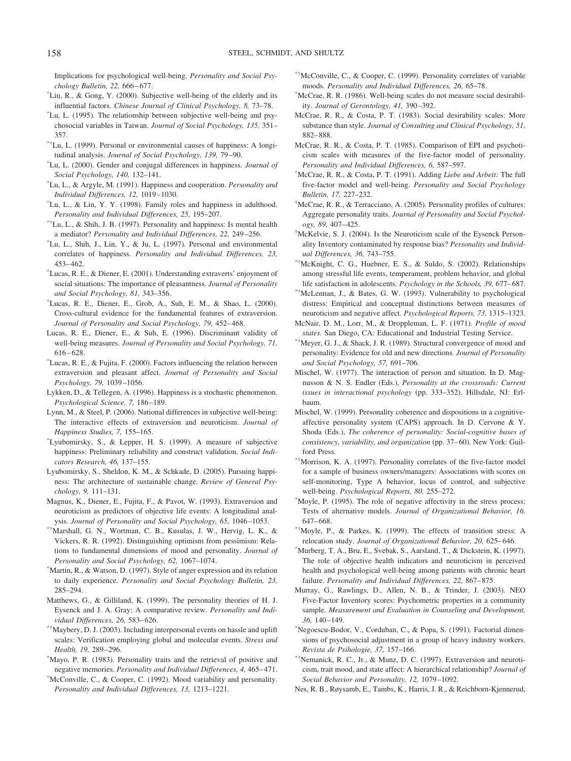Implications for psychological well-being. *Personality and Social Psychology Bulletin, 22,* 666–677.

- \* Liu, R., & Gong, Y. (2000). Subjective well-being of the elderly and its influential factors. *Chinese Journal of Clinical Psychology, 8,* 73–78.
- \* Lu, L. (1995). The relationship between subjective well-being and psychosocial variables in Taiwan. *Journal of Social Psychology, 135,* 351– 357.
- \*†Lu, L. (1999). Personal or environmental causes of happiness: A longitudinal analysis. *Journal of Social Psychology, 139,* 79–90.
- \* Lu, L. (2000). Gender and conjugal differences in happiness. *Journal of Social Psychology, 140,* 132–141.
- \* Lu, L., & Argyle, M. (1991). Happiness and cooperation. *Personality and Individual Differences, 12,* 1019–1030.
- \* Lu, L., & Lin, Y. Y. (1998). Family roles and happiness in adulthood. *Personality and Individual Differences, 25,* 195–207.
- \*†Lu, L., & Shih, J. B. (1997). Personality and happiness: Is mental health a mediator? *Personality and Individual Differences, 22,* 249–256.
- \* Lu, L., Shih, J., Lin, Y., & Ju, L. (1997). Personal and environmental correlates of happiness. *Personality and Individual Differences, 23,* 453–462.
- \* Lucas, R. E., & Diener, E. (2001). Understanding extraverts' enjoyment of social situations: The importance of pleasantness. *Journal of Personality and Social Psychology, 81,* 343–356.
- \* Lucas, R. E., Diener, E., Grob, A., Suh, E. M., & Shao, L. (2000). Cross-cultural evidence for the fundamental features of extraversion. *Journal of Personality and Social Psychology, 79,* 452–468.
- Lucas, R. E., Diener, E., & Suh, E. (1996). Discriminant validity of well-being measures. *Journal of Personality and Social Psychology, 71,* 616–628.
- \* Lucas, R. E., & Fujita, F. (2000). Factors influencing the relation between extraversion and pleasant affect. *Journal of Personality and Social Psychology, 79,* 1039–1056.
- Lykken, D., & Tellegen, A. (1996). Happiness is a stochastic phenomenon. *Psychological Science, 7,* 186–189.
- Lynn, M., & Steel, P. (2006). National differences in subjective well-being: The interactive effects of extraversion and neuroticism. *Journal of Happiness Studies, 7,* 155–165.
- \* Lyubomirsky, S., & Lepper, H. S. (1999). A measure of subjective happiness: Preliminary reliability and construct validation. *Social Indicators Research, 46,* 137–155.
- Lyubomirsky, S., Sheldon, K. M., & Schkade, D. (2005). Pursuing happiness: The architecture of sustainable change. *Review of General Psychology, 9,* 111–131.
- Magnus, K., Diener, E., Fujita, F., & Pavot, W. (1993). Extraversion and neuroticism as predictors of objective life events: A longitudinal analysis. *Journal of Personality and Social Psychology, 65,* 1046–1053.
- \*†Marshall, G. N., Wortman, C. B., Kusulas, J. W., Hervig, L. K., & Vickers, R. R. (1992). Distinguishing optimism from pessimism: Relations to fundamental dimensions of mood and personality. *Journal of Personality and Social Psychology, 62,* 1067–1074.
- \* Martin, R., & Watson, D. (1997). Style of anger expression and its relation to daily experience. *Personality and Social Psychology Bulletin, 23,* 285–294.
- Matthews, G., & Gilliland, K. (1999). The personality theories of H. J. Eysenck and J. A. Gray: A comparative review. *Personality and Individual Differences, 26,* 583–626.
- \*†Maybery, D. J. (2003). Including interpersonal events on hassle and uplift scales: Verification employing global and molecular events. *Stress and Health, 19,* 289–296.
- \* Mayo, P. R. (1983). Personality traits and the retrieval of positive and negative memories. *Personality and Individual Differences, 4,* 465–471.
- \* McConville, C., & Cooper, C. (1992). Mood variability and personality. *Personality and Individual Differences, 13,* 1213–1221.
- \*†McConville, C., & Cooper, C. (1999). Personality correlates of variable moods. *Personality and Individual Differences, 26,* 65–78.
- \* McCrae, R. R. (1986). Well-being scales do not measure social desirability. *Journal of Gerontology, 41,* 390–392.
- McCrae, R. R., & Costa, P. T. (1983). Social desirability scales: More substance than style. *Journal of Consulting and Clinical Psychology, 51,* 882–888.
- McCrae, R. R., & Costa, P. T. (1985). Comparison of EPI and psychoticism scales with measures of the five-factor model of personality. *Personality and Individual Differences, 6,* 587–597.
- \* McCrae, R. R., & Costa, P. T. (1991). Adding *Liebe und Arbeit:* The full five-factor model and well-being. *Personality and Social Psychology Bulletin, 17,* 227–232.
- † McCrae, R. R., & Terracciano, A. (2005). Personality profiles of cultures: Aggregate personality traits. *Journal of Personality and Social Psychology, 89,* 407–425.
- † McKelvie, S. J. (2004). Is the Neuroticism scale of the Eysenck Personality Inventory contaminated by response bias? *Personality and Individual Differences, 36,* 743–755.
- \*†McKnight, C. G., Huebner, E. S., & Suldo, S. (2002). Relationships among stressful life events, temperament, problem behavior, and global life satisfaction in adolescents. *Psychology in the Schools, 39,* 677–687.
- \*†McLennan, J., & Bates, G. W. (1993). Vulnerability to psychological distress: Empirical and conceptual distinctions between measures of neuroticism and negative affect. *Psychological Reports, 73,* 1315–1323.
- McNair, D. M., Lorr, M., & Droppleman, L. F. (1971). *Profile of mood states.* San Diego, CA: Educational and Industrial Testing Service.
- \*†Meyer, G. J., & Shack, J. R. (1989). Structural convergence of mood and personality: Evidence for old and new directions. *Journal of Personality and Social Psychology, 57,* 691–706.
- Mischel, W. (1977). The interaction of person and situation. In D. Magnusson & N. S. Endler (Eds.), *Personality at the crossroads: Current issues in interactional psychology* (pp. 333–352). Hillsdale, NJ: Erlbaum.
- Mischel, W. (1999). Personality coherence and dispositions in a cognitiveaffective personality system (CAPS) approach. In D. Cervone & Y. Shoda (Eds.), *The coherence of personality: Social-cognitive bases of consistency, variability, and organization* (pp. 37–60). New York: Guilford Press.
- \*†Morrison, K. A. (1997). Personality correlates of the five-factor model for a sample of business owners/managers: Associations with scores on self-monitoring, Type A behavior, locus of control, and subjective well-being. *Psychological Reports, 80,* 255–272.
- \* Moyle, P. (1995). The role of negative affectivity in the stress process: Tests of alternative models. *Journal of Organizational Behavior, 16,* 647–668.
- \*†Moyle, P., & Parkes, K. (1999). The effects of transition stress: A relocation study. *Journal of Organizational Behavior, 20,* 625–646.
- \* Murberg, T. A., Bru, E., Svebak, S., Aarsland, T., & Dickstein, K. (1997). The role of objective health indicators and neuroticism in perceived health and psychological well-being among patients with chronic heart failure. *Personality and Individual Differences, 22,* 867–875.
- Murray, G., Rawlings, D., Allen, N. B., & Trinder, J. (2003). NEO Five-Factor Inventory scores: Psychometric properties in a community sample. *Measurement and Evaluation in Counseling and Development, 36,* 140–149.
- \* Negoescu-Bodor, V., Corduban, C., & Popa, S. (1991). Factorial dimensions of psychosocial adjustment in a group of heavy industry workers. *Revista de Psihologie, 37,* 157–166.
- \*†Nemanick, R. C., Jr., & Munz, D. C. (1997). Extraversion and neuroticism, trait mood, and state affect: A hierarchical relationship? *Journal of Social Behavior and Personality, 12,* 1079–1092.
- Nes, R. B., Røysamb, E., Tambs, K., Harris, J. R., & Reichborn-Kjennerud,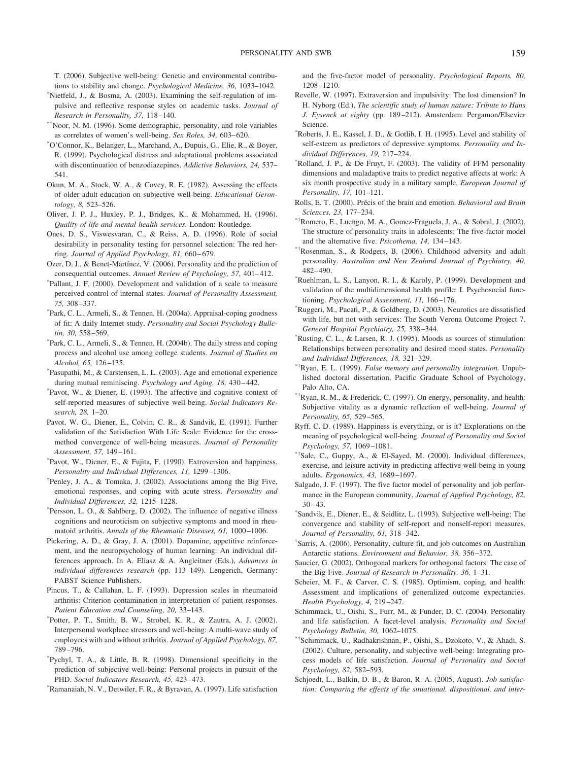T. (2006). Subjective well-being: Genetic and environmental contributions to stability and change. *Psychological Medicine, 36,* 1033–1042.

- † Nietfeld, J., & Bosma, A. (2003). Examining the self-regulation of impulsive and reflective response styles on academic tasks. *Journal of Research in Personality, 37,* 118–140.
- \*†Noor, N. M. (1996). Some demographic, personality, and role variables as correlates of women's well-being. *Sex Roles, 34,* 603–620.
- \* O'Connor, K., Belanger, L., Marchand, A., Dupuis, G., Elie, R., & Boyer, R. (1999). Psychological distress and adaptational problems associated with discontinuation of benzodiazepines. *Addictive Behaviors, 24,* 537– 541.
- Okun, M. A., Stock, W. A., & Covey, R. E. (1982). Assessing the effects of older adult education on subjective well-being. *Educational Gerontology, 8,* 523–526.
- Oliver, J. P. J., Huxley, P. J., Bridges, K., & Mohammed, H. (1996). *Quality of life and mental health services.* London: Routledge.
- Ones, D. S., Viswesvaran, C., & Reiss, A. D. (1996). Role of social desirability in personality testing for personnel selection: The red herring. *Journal of Applied Psychology, 81,* 660–679.
- Ozer, D. J., & Benet-Martínez, V. (2006). Personality and the prediction of consequential outcomes. *Annual Review of Psychology, 57,* 401–412.
- \* Pallant, J. F. (2000). Development and validation of a scale to measure perceived control of internal states. *Journal of Personality Assessment, 75,* 308–337.
- \* Park, C. L., Armeli, S., & Tennen, H. (2004a). Appraisal-coping goodness of fit: A daily Internet study. *Personality and Social Psychology Bulletin, 30,* 558–569.
- \* Park, C. L., Armeli, S., & Tennen, H. (2004b). The daily stress and coping process and alcohol use among college students. *Journal of Studies on Alcohol, 65,* 126–135.
- \* Pasupathi, M., & Carstensen, L. L. (2003). Age and emotional experience during mutual reminiscing. *Psychology and Aging, 18,* 430–442.
- \* Pavot, W., & Diener, E. (1993). The affective and cognitive context of self-reported measures of subjective well-being. *Social Indicators Research, 28,* 1–20.
- Pavot, W. G., Diener, E., Colvin, C. R., & Sandvik, E. (1991). Further validation of the Satisfaction With Life Scale: Evidence for the crossmethod convergence of well-being measures. *Journal of Personality Assessment, 57,* 149–161.
- \* Pavot, W., Diener, E., & Fujita, F. (1990). Extroversion and happiness. *Personality and Individual Differences, 11,* 1299–1306.
- † Penley, J. A., & Tomaka, J. (2002). Associations among the Big Five, emotional responses, and coping with acute stress. *Personality and Individual Differences, 32,* 1215–1228.
- \* Persson, L. O., & Sahlberg, D. (2002). The influence of negative illness cognitions and neuroticism on subjective symptoms and mood in rheumatoid arthritis. *Annals of the Rheumatic Diseases, 61,* 1000–1006.
- Pickering, A. D., & Gray, J. A. (2001). Dopamine, appetitive reinforcement, and the neuropsychology of human learning: An individual differences approach. In A. Eliasz & A. Angleitner (Eds.), *Advances in individual differences research* (pp. 113–149). Lengerich, Germany: PABST Science Publishers.
- Pincus, T., & Callahan, L. F. (1993). Depression scales in rheumatoid arthritis: Criterion contamination in interpretation of patient responses. *Patient Education and Counseling, 20,* 33–143.
- \* Potter, P. T., Smith, B. W., Strobel, K. R., & Zautra, A. J. (2002). Interpersonal workplace stressors and well-being: A multi-wave study of employees with and without arthritis. *Journal of Applied Psychology, 87,* 789–796.
- \* Pychyl, T. A., & Little, B. R. (1998). Dimensional specificity in the prediction of subjective well-being: Personal projects in pursuit of the PHD. *Social Indicators Research, 45,* 423–473.
- \* Ramanaiah, N. V., Detwiler, F. R., & Byravan, A. (1997). Life satisfaction

and the five-factor model of personality. *Psychological Reports, 80,* 1208–1210.

- Revelle, W. (1997). Extraversion and impulsivity: The lost dimension? In H. Nyborg (Ed.), *The scientific study of human nature: Tribute to Hans J. Eysenck at eighty* (pp. 189–212). Amsterdam: Pergamon/Elsevier Science.
- \* Roberts, J. E., Kassel, J. D., & Gotlib, I. H. (1995). Level and stability of self-esteem as predictors of depressive symptoms. *Personality and Individual Differences, 19,* 217–224.
- \* Rolland, J. P., & De Fruyt, F. (2003). The validity of FFM personality dimensions and maladaptive traits to predict negative affects at work: A six month prospective study in a military sample. *European Journal of Personality, 17,* 101–121.
- Rolls, E. T. (2000). Précis of the brain and emotion. *Behavioral and Brain Sciences, 23,* 177–234.
- \*†Romero, E., Luengo, M. A., Gomez-Fraguela, J. A., & Sobral, J. (2002). The structure of personality traits in adolescents: The five-factor model and the alternative five. *Psicothema, 14,* 134–143.
- \*†Rosenman, S., & Rodgers, B. (2006). Childhood adversity and adult personality. *Australian and New Zealand Journal of Psychiatry, 40,* 482–490.
- \* Ruehlman, L. S., Lanyon, R. I., & Karoly, P. (1999). Development and validation of the multidimensional health profile: I. Psychosocial functioning. *Psychological Assessment, 11,* 166–176.
- \* Ruggeri, M., Pacati, P., & Goldberg, D. (2003). Neurotics are dissatisfied with life, but not with services: The South Verona Outcome Project 7. *General Hospital Psychiatry, 25,* 338–344.
- \* Rusting, C. L., & Larsen, R. J. (1995). Moods as sources of stimulation: Relationships between personality and desired mood states. *Personality and Individual Differences, 18,* 321–329.
- \*†Ryan, E. L. (1999). *False memory and personality integration.* Unpublished doctoral dissertation, Pacific Graduate School of Psychology, Palo Alto, CA.
- \*†Ryan, R. M., & Frederick, C. (1997). On energy, personality, and health: Subjective vitality as a dynamic reflection of well-being. *Journal of Personality, 65,* 529–565.
- Ryff, C. D. (1989). Happiness is everything, or is it? Explorations on the meaning of psychological well-being. *Journal of Personality and Social Psychology, 57,* 1069–1081.
- \*†Sale, C., Guppy, A., & El-Sayed, M. (2000). Individual differences, exercise, and leisure activity in predicting affective well-being in young adults. *Ergonomics, 43,* 1689–1697.
- Salgado, J. F. (1997). The five factor model of personality and job performance in the European community. *Journal of Applied Psychology, 82,* 30–43.
- \* Sandvik, E., Diener, E., & Seidlitz, L. (1993). Subjective well-being: The convergence and stability of self-report and nonself-report measures. *Journal of Personality, 61,* 318–342.
- † Sarris, A. (2006). Personality, culture fit, and job outcomes on Australian Antarctic stations. *Environment and Behavior, 38,* 356–372.
- Saucier, G. (2002). Orthogonal markers for orthogonal factors: The case of the Big Five. *Journal of Research in Personality, 36,* 1–31.
- Scheier, M. F., & Carver, C. S. (1985). Optimism, coping, and health: Assessment and implications of generalized outcome expectancies. *Health Psychology, 4,* 219–247.
- Schimmack, U., Oishi, S., Furr, M., & Funder, D. C. (2004). Personality and life satisfaction. A facet-level analysis. *Personality and Social Psychology Bulletin, 30,* 1062–1075.
- \*†Schimmack, U., Radhakrishnan, P., Oishi, S., Dzokoto, V., & Ahadi, S. (2002). Culture, personality, and subjective well-being: Integrating process models of life satisfaction. *Journal of Personality and Social Psychology, 82,* 582–593.
- Schjoedt, L., Balkin, D. B., & Baron, R. A. (2005, August). *Job satisfaction: Comparing the effects of the situational, dispositional, and inter-*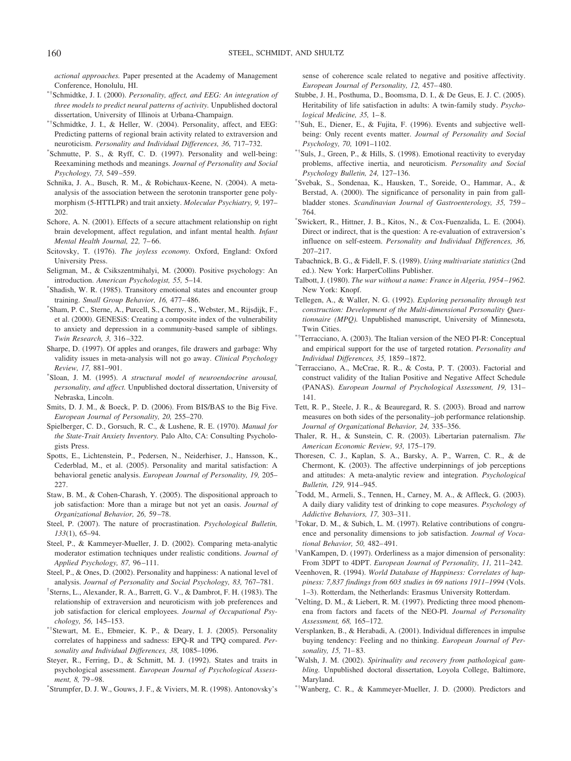*actional approaches.* Paper presented at the Academy of Management Conference, Honolulu, HI.

- \*†Schmidtke, J. I. (2000). *Personality, affect, and EEG: An integration of three models to predict neural patterns of activity.* Unpublished doctoral dissertation, University of Illinois at Urbana-Champaign.
- \*†Schmidtke, J. I., & Heller, W. (2004). Personality, affect, and EEG: Predicting patterns of regional brain activity related to extraversion and neuroticism. *Personality and Individual Differences, 36,* 717–732.
- \* Schmutte, P. S., & Ryff, C. D. (1997). Personality and well-being: Reexamining methods and meanings. *Journal of Personality and Social Psychology, 73,* 549–559.
- Schnika, J. A., Busch, R. M., & Robichaux-Keene, N. (2004). A metaanalysis of the association between the serotonin transporter gene polymorphism (5-HTTLPR) and trait anxiety. *Molecular Psychiatry, 9,* 197– 202.
- Schore, A. N. (2001). Effects of a secure attachment relationship on right brain development, affect regulation, and infant mental health. *Infant Mental Health Journal, 22,* 7–66.
- Scitovsky, T. (1976). *The joyless economy.* Oxford, England: Oxford University Press.
- Seligman, M., & Csikszentmihalyi, M. (2000). Positive psychology: An introduction. *American Psychologist, 55,* 5–14.
- \* Shadish, W. R. (1985). Transitory emotional states and encounter group training. *Small Group Behavior, 16,* 477–486.
- \* Sham, P. C., Sterne, A., Purcell, S., Cherny, S., Webster, M., Rijsdijk, F., et al. (2000). GENESiS: Creating a composite index of the vulnerability to anxiety and depression in a community-based sample of siblings. *Twin Research, 3,* 316–322.
- Sharpe, D. (1997). Of apples and oranges, file drawers and garbage: Why validity issues in meta-analysis will not go away. *Clinical Psychology Review, 17,* 881–901.
- \* Sloan, J. M. (1995). *A structural model of neuroendocrine arousal, personality, and affect.* Unpublished doctoral dissertation, University of Nebraska, Lincoln.
- Smits, D. J. M., & Boeck, P. D. (2006). From BIS/BAS to the Big Five. *European Journal of Personality, 20,* 255–270.
- Spielberger, C. D., Gorsuch, R. C., & Lushene, R. E. (1970). *Manual for the State-Trait Anxiety Inventory.* Palo Alto, CA: Consulting Psychologists Press.
- Spotts, E., Lichtenstein, P., Pedersen, N., Neiderhiser, J., Hansson, K., Cederblad, M., et al. (2005). Personality and marital satisfaction: A behavioral genetic analysis. *European Journal of Personality, 19,* 205– 227
- Staw, B. M., & Cohen-Charash, Y. (2005). The dispositional approach to job satisfaction: More than a mirage but not yet an oasis. *Journal of Organizational Behavior, 26,* 59–78.
- Steel, P. (2007). The nature of procrastination. *Psychological Bulletin, 133*(1), 65–94.
- Steel, P., & Kammeyer-Mueller, J. D. (2002). Comparing meta-analytic moderator estimation techniques under realistic conditions. *Journal of Applied Psychology, 87,* 96–111.
- Steel, P., & Ones, D. (2002). Personality and happiness: A national level of analysis. *Journal of Personality and Social Psychology, 83,* 767–781.
- † Sterns, L., Alexander, R. A., Barrett, G. V., & Dambrot, F. H. (1983). The relationship of extraversion and neuroticism with job preferences and job satisfaction for clerical employees. *Journal of Occupational Psychology, 56,* 145–153.
- \*†Stewart, M. E., Ebmeier, K. P., & Deary, I. J. (2005). Personality correlates of happiness and sadness: EPQ-R and TPQ compared. *Personality and Individual Differences, 38,* 1085–1096.
- Steyer, R., Ferring, D., & Schmitt, M. J. (1992). States and traits in psychological assessment. *European Journal of Psychological Assessment, 8,* 79–98.
- \* Strumpfer, D. J. W., Gouws, J. F., & Viviers, M. R. (1998). Antonovsky's

sense of coherence scale related to negative and positive affectivity. *European Journal of Personality, 12,* 457–480.

- Stubbe, J. H., Posthuma, D., Boomsma, D. I., & De Geus, E. J. C. (2005). Heritability of life satisfaction in adults: A twin-family study. *Psychological Medicine, 35,* 1–8.
- \*†Suh, E., Diener, E., & Fujita, F. (1996). Events and subjective wellbeing: Only recent events matter. *Journal of Personality and Social Psychology, 70,* 1091–1102.
- \*†Suls, J., Green, P., & Hills, S. (1998). Emotional reactivity to everyday problems, affective inertia, and neuroticism. *Personality and Social Psychology Bulletin, 24,* 127–136.
- \* Svebak, S., Sondenaa, K., Hausken, T., Soreide, O., Hammar, A., & Berstad, A. (2000). The significance of personality in pain from gallbladder stones. *Scandinavian Journal of Gastroenterology, 35,* 759– 764.
- \* Swickert, R., Hittner, J. B., Kitos, N., & Cox-Fuenzalida, L. E. (2004). Direct or indirect, that is the question: A re-evaluation of extraversion's influence on self-esteem. *Personality and Individual Differences, 36,* 207–217.
- Tabachnick, B. G., & Fidell, F. S. (1989). *Using multivariate statistics* (2nd ed.). New York: HarperCollins Publisher.
- Talbott, J. (1980). *The war without a name: France in Algeria, 1954 –1962.* New York: Knopf.
- Tellegen, A., & Waller, N. G. (1992). *Exploring personality through test construction: Development of the Multi-dimensional Personality Questionnaire (MPQ).* Unpublished manuscript, University of Minnesota, Twin Cities.
- \*†Terracciano, A. (2003). The Italian version of the NEO PI-R: Conceptual and empirical support for the use of targeted rotation. *Personality and Individual Differences, 35,* 1859–1872.
- \* Terracciano, A., McCrae, R. R., & Costa, P. T. (2003). Factorial and construct validity of the Italian Positive and Negative Affect Schedule (PANAS). *European Journal of Psychological Assessment, 19,* 131– 141.
- Tett, R. P., Steele, J. R., & Beauregard, R. S. (2003). Broad and narrow measures on both sides of the personality–job performance relationship. *Journal of Organizational Behavior, 24,* 335–356.
- Thaler, R. H., & Sunstein, C. R. (2003). Libertarian paternalism. *The American Economic Review, 93,* 175–179.
- Thoresen, C. J., Kaplan, S. A., Barsky, A. P., Warren, C. R., & de Chermont, K. (2003). The affective underpinnings of job perceptions and attitudes: A meta-analytic review and integration. *Psychological Bulletin, 129,* 914–945.
- \* Todd, M., Armeli, S., Tennen, H., Carney, M. A., & Affleck, G. (2003). A daily diary validity test of drinking to cope measures. *Psychology of Addictive Behaviors, 17,* 303–311.
- † Tokar, D. M., & Subich, L. M. (1997). Relative contributions of congruence and personality dimensions to job satisfaction. *Journal of Vocational Behavior, 50,* 482–491.
- † VanKampen, D. (1997). Orderliness as a major dimension of personality: From 3DPT to 4DPT. *European Journal of Personality, 11,* 211–242.
- Veenhoven, R. (1994). *World Database of Happiness: Correlates of happiness: 7,837 findings from 603 studies in 69 nations 1911–1994* (Vols. 1–3). Rotterdam, the Netherlands: Erasmus University Rotterdam.
- \* Velting, D. M., & Liebert, R. M. (1997). Predicting three mood phenomena from factors and facets of the NEO-PI. *Journal of Personality Assessment, 68,* 165–172.
- Versplanken, B., & Herabadi, A. (2001). Individual differences in impulse buying tendency: Feeling and no thinking. *European Journal of Personality, 15,* 71–83.
- \* Walsh, J. M. (2002). *Spirituality and recovery from pathological gambling.* Unpublished doctoral dissertation, Loyola College, Baltimore, Maryland.
- \*†Wanberg, C. R., & Kammeyer-Mueller, J. D. (2000). Predictors and